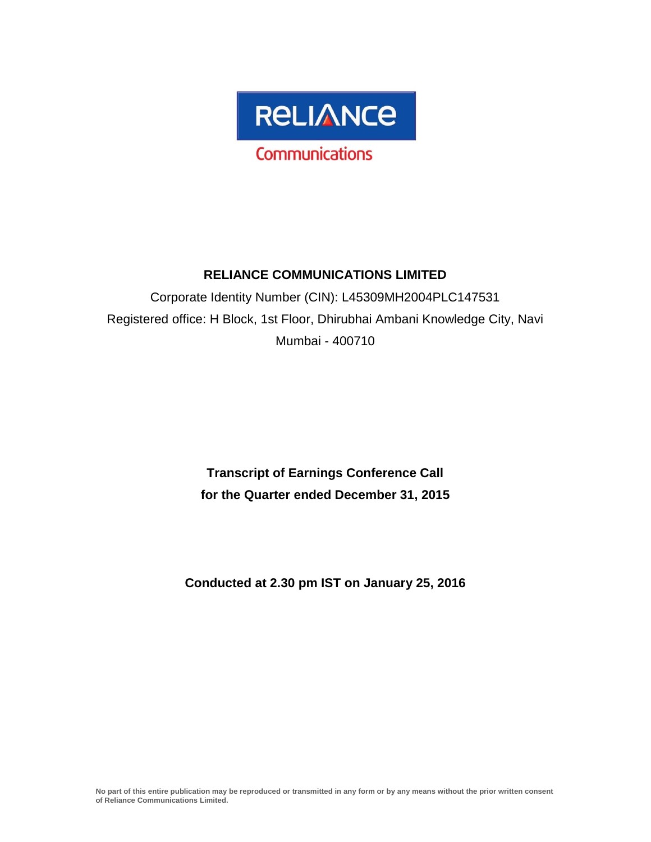

# **RELIANCE COMMUNICATIONS LIMITED**

Corporate Identity Number (CIN): L45309MH2004PLC147531 Registered office: H Block, 1st Floor, Dhirubhai Ambani Knowledge City, Navi Mumbai - 400710

> **Transcript of Earnings Conference Call for the Quarter ended December 31, 2015**

**Conducted at 2.30 pm IST on January 25, 2016**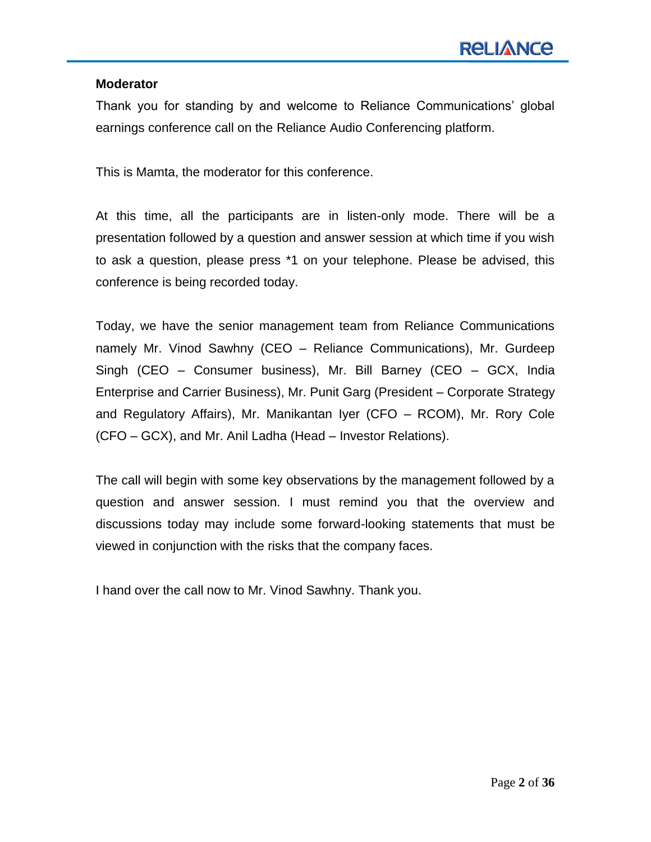#### **Moderator**

Thank you for standing by and welcome to Reliance Communications" global earnings conference call on the Reliance Audio Conferencing platform.

This is Mamta, the moderator for this conference.

At this time, all the participants are in listen-only mode. There will be a presentation followed by a question and answer session at which time if you wish to ask a question, please press \*1 on your telephone. Please be advised, this conference is being recorded today.

Today, we have the senior management team from Reliance Communications namely Mr. Vinod Sawhny (CEO – Reliance Communications), Mr. Gurdeep Singh (CEO – Consumer business), Mr. Bill Barney (CEO – GCX, India Enterprise and Carrier Business), Mr. Punit Garg (President – Corporate Strategy and Regulatory Affairs), Mr. Manikantan Iyer (CFO – RCOM), Mr. Rory Cole (CFO – GCX), and Mr. Anil Ladha (Head – Investor Relations).

The call will begin with some key observations by the management followed by a question and answer session. I must remind you that the overview and discussions today may include some forward-looking statements that must be viewed in conjunction with the risks that the company faces.

I hand over the call now to Mr. Vinod Sawhny. Thank you.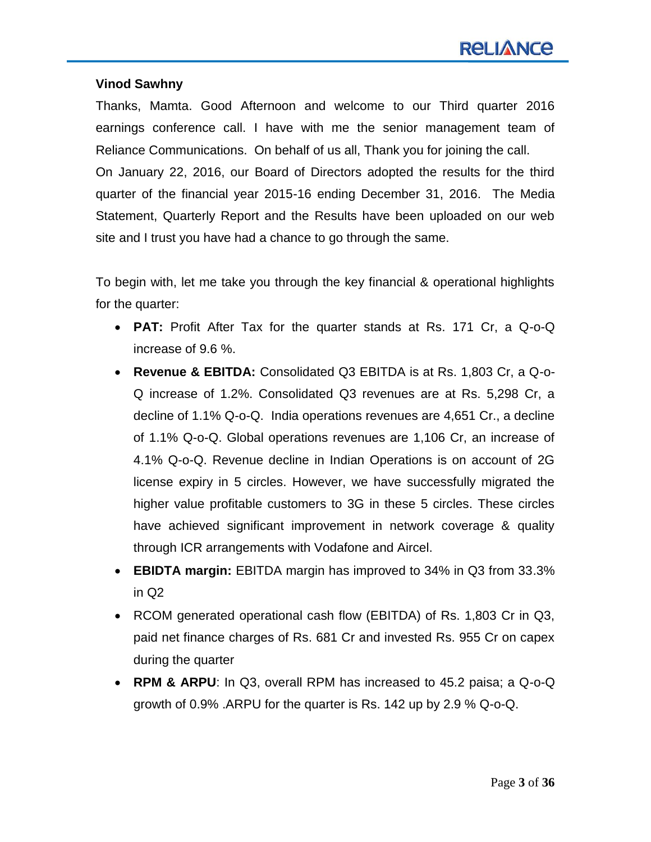#### **Vinod Sawhny**

Thanks, Mamta. Good Afternoon and welcome to our Third quarter 2016 earnings conference call. I have with me the senior management team of Reliance Communications. On behalf of us all, Thank you for joining the call. On January 22, 2016, our Board of Directors adopted the results for the third quarter of the financial year 2015-16 ending December 31, 2016. The Media Statement, Quarterly Report and the Results have been uploaded on our web site and I trust you have had a chance to go through the same.

To begin with, let me take you through the key financial & operational highlights for the quarter:

- **PAT:** Profit After Tax for the quarter stands at Rs. 171 Cr, a Q-o-Q increase of 9.6 %.
- **Revenue & EBITDA:** Consolidated Q3 EBITDA is at Rs. 1,803 Cr, a Q-o-Q increase of 1.2%. Consolidated Q3 revenues are at Rs. 5,298 Cr, a decline of 1.1% Q-o-Q. India operations revenues are 4,651 Cr., a decline of 1.1% Q-o-Q. Global operations revenues are 1,106 Cr, an increase of 4.1% Q-o-Q. Revenue decline in Indian Operations is on account of 2G license expiry in 5 circles. However, we have successfully migrated the higher value profitable customers to 3G in these 5 circles. These circles have achieved significant improvement in network coverage & quality through ICR arrangements with Vodafone and Aircel.
- **EBIDTA margin:** EBITDA margin has improved to 34% in Q3 from 33.3% in Q2
- RCOM generated operational cash flow (EBITDA) of Rs. 1,803 Cr in Q3, paid net finance charges of Rs. 681 Cr and invested Rs. 955 Cr on capex during the quarter
- **RPM & ARPU**: In Q3, overall RPM has increased to 45.2 paisa; a Q-o-Q growth of 0.9% .ARPU for the quarter is Rs. 142 up by 2.9 % Q-o-Q.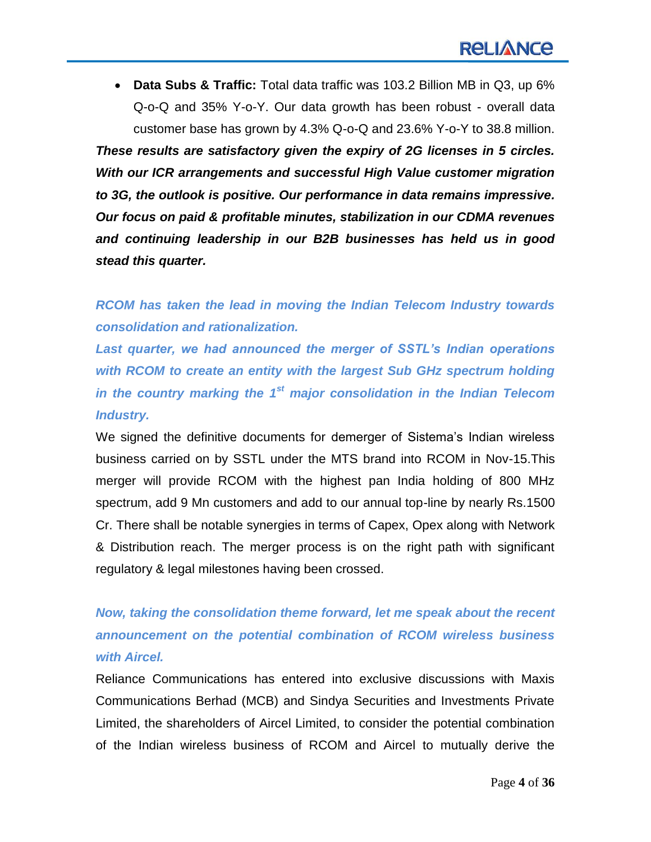**Data Subs & Traffic:** Total data traffic was 103.2 Billion MB in Q3, up 6% Q-o-Q and 35% Y-o-Y. Our data growth has been robust - overall data customer base has grown by 4.3% Q-o-Q and 23.6% Y-o-Y to 38.8 million. *These results are satisfactory given the expiry of 2G licenses in 5 circles. With our ICR arrangements and successful High Value customer migration to 3G, the outlook is positive. Our performance in data remains impressive. Our focus on paid & profitable minutes, stabilization in our CDMA revenues and continuing leadership in our B2B businesses has held us in good stead this quarter.*

*RCOM has taken the lead in moving the Indian Telecom Industry towards consolidation and rationalization.*

*Last quarter, we had announced the merger of SSTL's Indian operations with RCOM to create an entity with the largest Sub GHz spectrum holding in the country marking the 1st major consolidation in the Indian Telecom Industry.*

We signed the definitive documents for demerger of Sistema's Indian wireless business carried on by SSTL under the MTS brand into RCOM in Nov-15.This merger will provide RCOM with the highest pan India holding of 800 MHz spectrum, add 9 Mn customers and add to our annual top-line by nearly Rs.1500 Cr. There shall be notable synergies in terms of Capex, Opex along with Network & Distribution reach. The merger process is on the right path with significant regulatory & legal milestones having been crossed.

# *Now, taking the consolidation theme forward, let me speak about the recent announcement on the potential combination of RCOM wireless business with Aircel.*

Reliance Communications has entered into exclusive discussions with Maxis Communications Berhad (MCB) and Sindya Securities and Investments Private Limited, the shareholders of Aircel Limited, to consider the potential combination of the Indian wireless business of RCOM and Aircel to mutually derive the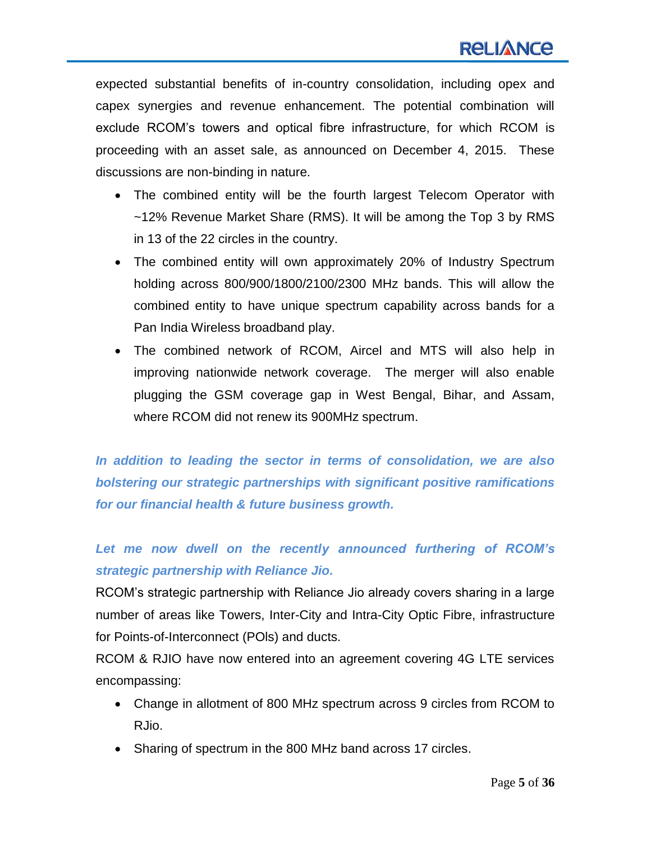expected substantial benefits of in-country consolidation, including opex and capex synergies and revenue enhancement. The potential combination will exclude RCOM"s towers and optical fibre infrastructure, for which RCOM is proceeding with an asset sale, as announced on December 4, 2015. These discussions are non-binding in nature.

- The combined entity will be the fourth largest Telecom Operator with ~12% Revenue Market Share (RMS). It will be among the Top 3 by RMS in 13 of the 22 circles in the country.
- The combined entity will own approximately 20% of Industry Spectrum holding across 800/900/1800/2100/2300 MHz bands. This will allow the combined entity to have unique spectrum capability across bands for a Pan India Wireless broadband play.
- The combined network of RCOM, Aircel and MTS will also help in improving nationwide network coverage. The merger will also enable plugging the GSM coverage gap in West Bengal, Bihar, and Assam, where RCOM did not renew its 900MHz spectrum.

*In addition to leading the sector in terms of consolidation, we are also bolstering our strategic partnerships with significant positive ramifications for our financial health & future business growth.*

# *Let me now dwell on the recently announced furthering of RCOM's strategic partnership with Reliance Jio.*

RCOM"s strategic partnership with Reliance Jio already covers sharing in a large number of areas like Towers, Inter-City and Intra-City Optic Fibre, infrastructure for Points-of-Interconnect (POls) and ducts.

RCOM & RJIO have now entered into an agreement covering 4G LTE services encompassing:

- Change in allotment of 800 MHz spectrum across 9 circles from RCOM to RJio.
- Sharing of spectrum in the 800 MHz band across 17 circles.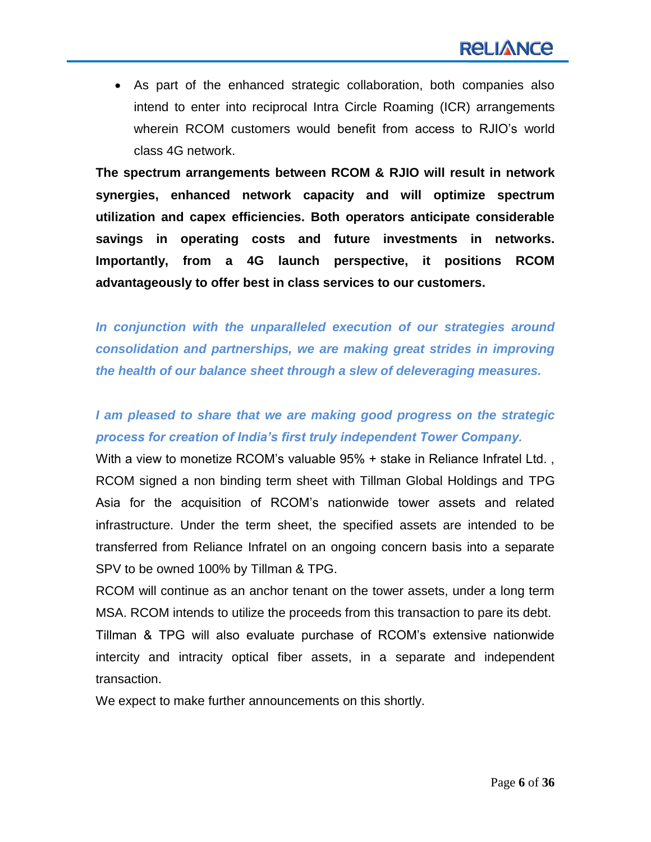As part of the enhanced strategic collaboration, both companies also intend to enter into reciprocal Intra Circle Roaming (ICR) arrangements wherein RCOM customers would benefit from access to RJIO"s world class 4G network.

**The spectrum arrangements between RCOM & RJIO will result in network synergies, enhanced network capacity and will optimize spectrum utilization and capex efficiencies. Both operators anticipate considerable savings in operating costs and future investments in networks. Importantly, from a 4G launch perspective, it positions RCOM advantageously to offer best in class services to our customers.**

*In conjunction with the unparalleled execution of our strategies around consolidation and partnerships, we are making great strides in improving the health of our balance sheet through a slew of deleveraging measures.* 

# *I am pleased to share that we are making good progress on the strategic process for creation of India's first truly independent Tower Company.*

With a view to monetize RCOM's valuable 95% + stake in Reliance Infratel Ltd., RCOM signed a non binding term sheet with Tillman Global Holdings and TPG Asia for the acquisition of RCOM"s nationwide tower assets and related infrastructure. Under the term sheet, the specified assets are intended to be transferred from Reliance Infratel on an ongoing concern basis into a separate SPV to be owned 100% by Tillman & TPG.

RCOM will continue as an anchor tenant on the tower assets, under a long term MSA. RCOM intends to utilize the proceeds from this transaction to pare its debt. Tillman & TPG will also evaluate purchase of RCOM"s extensive nationwide intercity and intracity optical fiber assets, in a separate and independent transaction.

We expect to make further announcements on this shortly.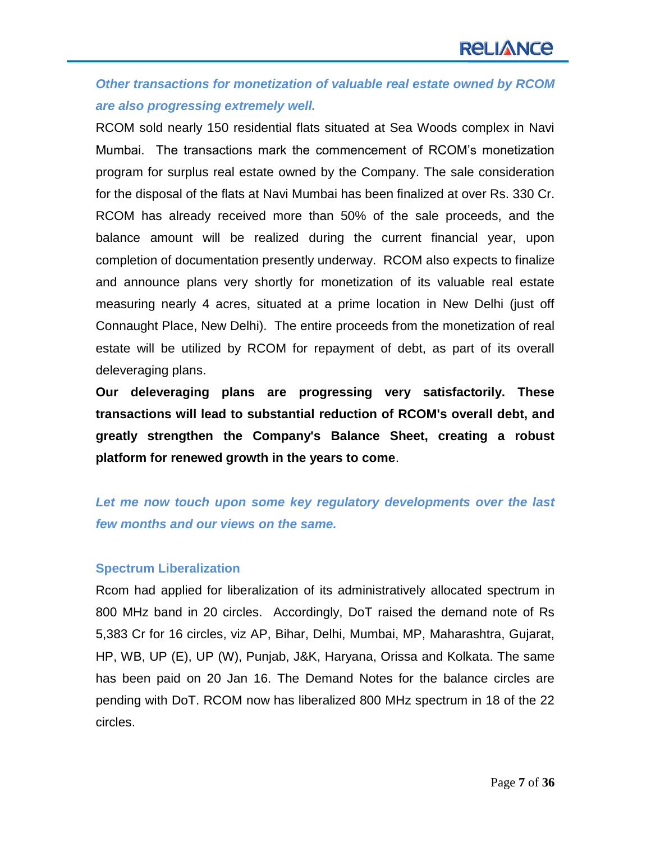# *Other transactions for monetization of valuable real estate owned by RCOM are also progressing extremely well.*

RCOM sold nearly 150 residential flats situated at Sea Woods complex in Navi Mumbai. The transactions mark the commencement of RCOM"s monetization program for surplus real estate owned by the Company. The sale consideration for the disposal of the flats at Navi Mumbai has been finalized at over Rs. 330 Cr. RCOM has already received more than 50% of the sale proceeds, and the balance amount will be realized during the current financial year, upon completion of documentation presently underway. RCOM also expects to finalize and announce plans very shortly for monetization of its valuable real estate measuring nearly 4 acres, situated at a prime location in New Delhi (just off Connaught Place, New Delhi). The entire proceeds from the monetization of real estate will be utilized by RCOM for repayment of debt, as part of its overall deleveraging plans.

**Our deleveraging plans are progressing very satisfactorily. These transactions will lead to substantial reduction of RCOM's overall debt, and greatly strengthen the Company's Balance Sheet, creating a robust platform for renewed growth in the years to come**.

# *Let me now touch upon some key regulatory developments over the last few months and our views on the same.*

#### **Spectrum Liberalization**

Rcom had applied for liberalization of its administratively allocated spectrum in 800 MHz band in 20 circles. Accordingly, DoT raised the demand note of Rs 5,383 Cr for 16 circles, viz AP, Bihar, Delhi, Mumbai, MP, Maharashtra, Gujarat, HP, WB, UP (E), UP (W), Punjab, J&K, Haryana, Orissa and Kolkata. The same has been paid on 20 Jan 16. The Demand Notes for the balance circles are pending with DoT. RCOM now has liberalized 800 MHz spectrum in 18 of the 22 circles.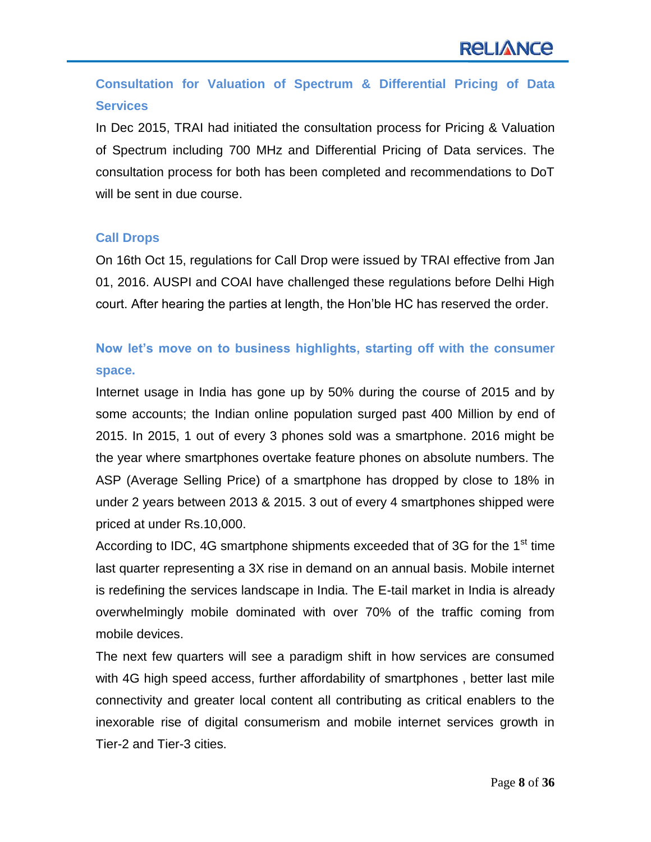# **Consultation for Valuation of Spectrum & Differential Pricing of Data Services**

In Dec 2015, TRAI had initiated the consultation process for Pricing & Valuation of Spectrum including 700 MHz and Differential Pricing of Data services. The consultation process for both has been completed and recommendations to DoT will be sent in due course.

#### **Call Drops**

On 16th Oct 15, regulations for Call Drop were issued by TRAI effective from Jan 01, 2016. AUSPI and COAI have challenged these regulations before Delhi High court. After hearing the parties at length, the Hon"ble HC has reserved the order.

# **Now let's move on to business highlights, starting off with the consumer space.**

Internet usage in India has gone up by 50% during the course of 2015 and by some accounts; the Indian online population surged past 400 Million by end of 2015. In 2015, 1 out of every 3 phones sold was a smartphone. 2016 might be the year where smartphones overtake feature phones on absolute numbers. The ASP (Average Selling Price) of a smartphone has dropped by close to 18% in under 2 years between 2013 & 2015. 3 out of every 4 smartphones shipped were priced at under Rs.10,000.

According to IDC, 4G smartphone shipments exceeded that of 3G for the  $1<sup>st</sup>$  time last quarter representing a 3X rise in demand on an annual basis. Mobile internet is redefining the services landscape in India. The E-tail market in India is already overwhelmingly mobile dominated with over 70% of the traffic coming from mobile devices.

The next few quarters will see a paradigm shift in how services are consumed with 4G high speed access, further affordability of smartphones , better last mile connectivity and greater local content all contributing as critical enablers to the inexorable rise of digital consumerism and mobile internet services growth in Tier-2 and Tier-3 cities.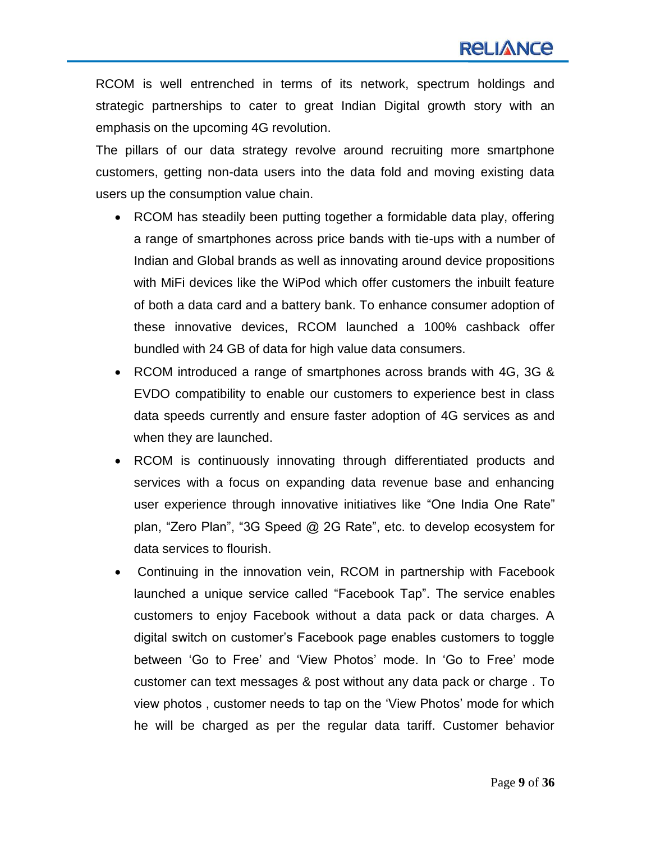RCOM is well entrenched in terms of its network, spectrum holdings and strategic partnerships to cater to great Indian Digital growth story with an emphasis on the upcoming 4G revolution.

The pillars of our data strategy revolve around recruiting more smartphone customers, getting non-data users into the data fold and moving existing data users up the consumption value chain.

- RCOM has steadily been putting together a formidable data play, offering a range of smartphones across price bands with tie-ups with a number of Indian and Global brands as well as innovating around device propositions with MiFi devices like the WiPod which offer customers the inbuilt feature of both a data card and a battery bank. To enhance consumer adoption of these innovative devices, RCOM launched a 100% cashback offer bundled with 24 GB of data for high value data consumers.
- RCOM introduced a range of smartphones across brands with 4G, 3G & EVDO compatibility to enable our customers to experience best in class data speeds currently and ensure faster adoption of 4G services as and when they are launched.
- RCOM is continuously innovating through differentiated products and services with a focus on expanding data revenue base and enhancing user experience through innovative initiatives like "One India One Rate" plan, "Zero Plan", "3G Speed @ 2G Rate", etc. to develop ecosystem for data services to flourish.
- Continuing in the innovation vein, RCOM in partnership with Facebook launched a unique service called "Facebook Tap". The service enables customers to enjoy Facebook without a data pack or data charges. A digital switch on customer"s Facebook page enables customers to toggle between "Go to Free" and "View Photos" mode. In "Go to Free" mode customer can text messages & post without any data pack or charge . To view photos , customer needs to tap on the "View Photos" mode for which he will be charged as per the regular data tariff. Customer behavior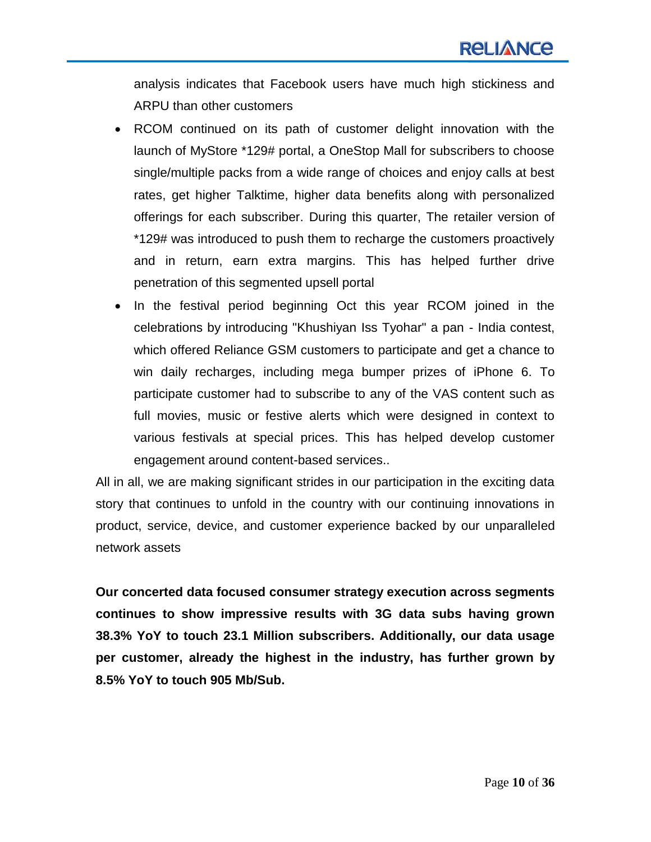analysis indicates that Facebook users have much high stickiness and ARPU than other customers

- RCOM continued on its path of customer delight innovation with the launch of MyStore \*129# portal, a OneStop Mall for subscribers to choose single/multiple packs from a wide range of choices and enjoy calls at best rates, get higher Talktime, higher data benefits along with personalized offerings for each subscriber. During this quarter, The retailer version of \*129# was introduced to push them to recharge the customers proactively and in return, earn extra margins. This has helped further drive penetration of this segmented upsell portal
- In the festival period beginning Oct this year RCOM joined in the celebrations by introducing "Khushiyan Iss Tyohar" a pan - India contest, which offered Reliance GSM customers to participate and get a chance to win daily recharges, including mega bumper prizes of iPhone 6. To participate customer had to subscribe to any of the VAS content such as full movies, music or festive alerts which were designed in context to various festivals at special prices. This has helped develop customer engagement around content-based services..

All in all, we are making significant strides in our participation in the exciting data story that continues to unfold in the country with our continuing innovations in product, service, device, and customer experience backed by our unparalleled network assets

**Our concerted data focused consumer strategy execution across segments continues to show impressive results with 3G data subs having grown 38.3% YoY to touch 23.1 Million subscribers. Additionally, our data usage per customer, already the highest in the industry, has further grown by 8.5% YoY to touch 905 Mb/Sub.**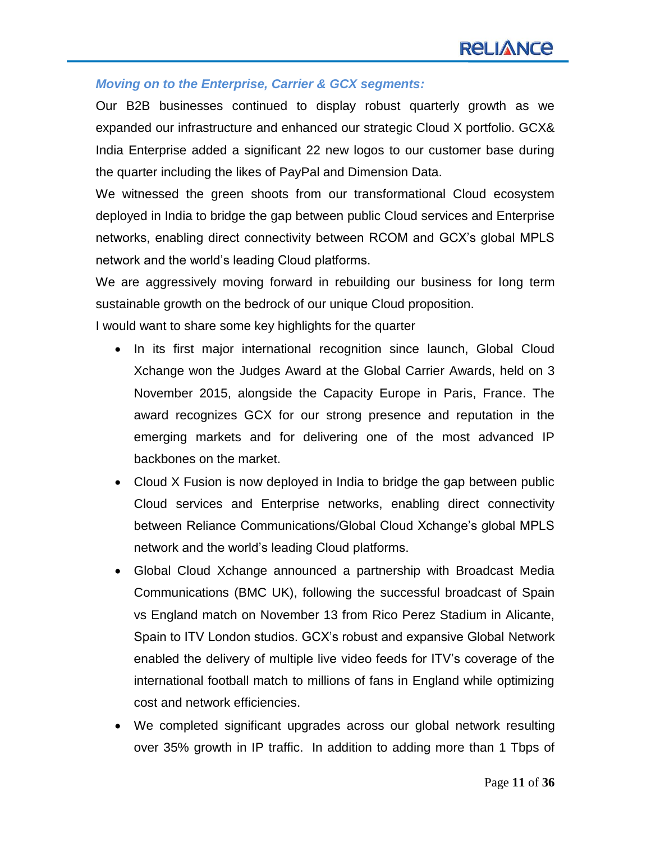#### *Moving on to the Enterprise, Carrier & GCX segments:*

Our B2B businesses continued to display robust quarterly growth as we expanded our infrastructure and enhanced our strategic Cloud X portfolio. GCX& India Enterprise added a significant 22 new logos to our customer base during the quarter including the likes of PayPal and Dimension Data.

We witnessed the green shoots from our transformational Cloud ecosystem deployed in India to bridge the gap between public Cloud services and Enterprise networks, enabling direct connectivity between RCOM and GCX"s global MPLS network and the world"s leading Cloud platforms.

We are aggressively moving forward in rebuilding our business for long term sustainable growth on the bedrock of our unique Cloud proposition.

I would want to share some key highlights for the quarter

- In its first major international recognition since launch, Global Cloud Xchange won the Judges Award at the Global Carrier Awards, held on 3 November 2015, alongside the Capacity Europe in Paris, France. The award recognizes GCX for our strong presence and reputation in the emerging markets and for delivering one of the most advanced IP backbones on the market.
- Cloud X Fusion is now deployed in India to bridge the gap between public Cloud services and Enterprise networks, enabling direct connectivity between Reliance Communications/Global Cloud Xchange"s global MPLS network and the world"s leading Cloud platforms.
- Global Cloud Xchange announced a partnership with Broadcast Media Communications (BMC UK), following the successful broadcast of Spain vs England match on November 13 from Rico Perez Stadium in Alicante, Spain to ITV London studios. GCX"s robust and expansive Global Network enabled the delivery of multiple live video feeds for ITV"s coverage of the international football match to millions of fans in England while optimizing cost and network efficiencies.
- We completed significant upgrades across our global network resulting over 35% growth in IP traffic. In addition to adding more than 1 Tbps of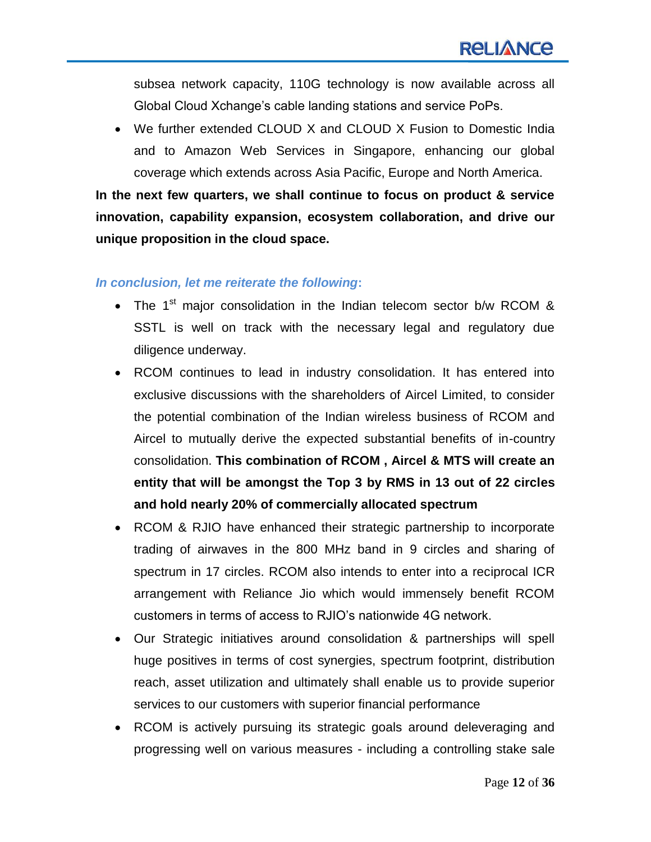subsea network capacity, 110G technology is now available across all Global Cloud Xchange"s cable landing stations and service PoPs.

 We further extended CLOUD X and CLOUD X Fusion to Domestic India and to Amazon Web Services in Singapore, enhancing our global coverage which extends across Asia Pacific, Europe and North America.

**In the next few quarters, we shall continue to focus on product & service innovation, capability expansion, ecosystem collaboration, and drive our unique proposition in the cloud space.** 

#### *In conclusion, let me reiterate the following***:**

- The  $1<sup>st</sup>$  major consolidation in the Indian telecom sector b/w RCOM & SSTL is well on track with the necessary legal and regulatory due diligence underway.
- RCOM continues to lead in industry consolidation. It has entered into exclusive discussions with the shareholders of Aircel Limited, to consider the potential combination of the Indian wireless business of RCOM and Aircel to mutually derive the expected substantial benefits of in-country consolidation. **This combination of RCOM , Aircel & MTS will create an entity that will be amongst the Top 3 by RMS in 13 out of 22 circles and hold nearly 20% of commercially allocated spectrum**
- RCOM & RJIO have enhanced their strategic partnership to incorporate trading of airwaves in the 800 MHz band in 9 circles and sharing of spectrum in 17 circles. RCOM also intends to enter into a reciprocal ICR arrangement with Reliance Jio which would immensely benefit RCOM customers in terms of access to RJIO"s nationwide 4G network.
- Our Strategic initiatives around consolidation & partnerships will spell huge positives in terms of cost synergies, spectrum footprint, distribution reach, asset utilization and ultimately shall enable us to provide superior services to our customers with superior financial performance
- RCOM is actively pursuing its strategic goals around deleveraging and progressing well on various measures - including a controlling stake sale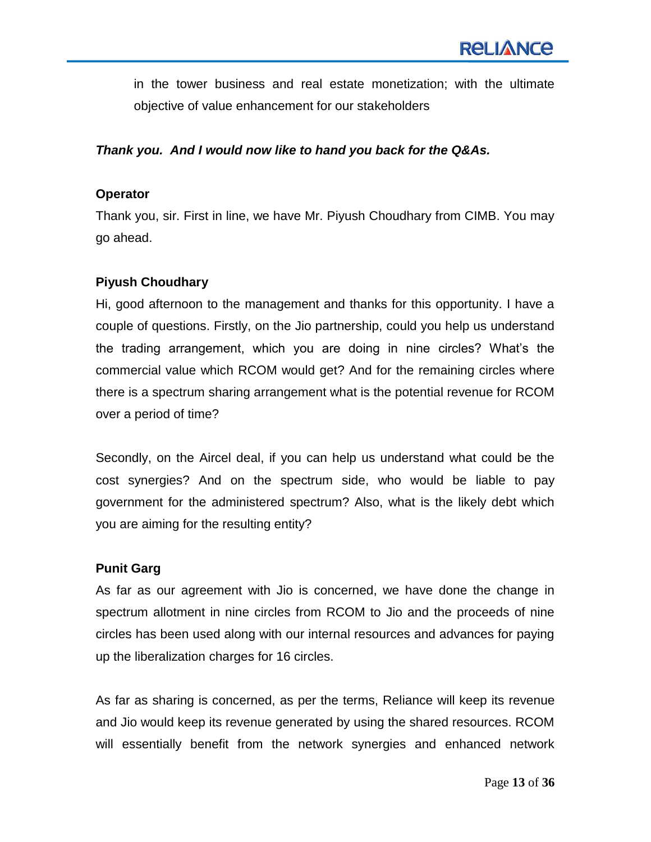in the tower business and real estate monetization; with the ultimate objective of value enhancement for our stakeholders

#### *Thank you. And I would now like to hand you back for the Q&As.*

#### **Operator**

Thank you, sir. First in line, we have Mr. Piyush Choudhary from CIMB. You may go ahead.

# **Piyush Choudhary**

Hi, good afternoon to the management and thanks for this opportunity. I have a couple of questions. Firstly, on the Jio partnership, could you help us understand the trading arrangement, which you are doing in nine circles? What"s the commercial value which RCOM would get? And for the remaining circles where there is a spectrum sharing arrangement what is the potential revenue for RCOM over a period of time?

Secondly, on the Aircel deal, if you can help us understand what could be the cost synergies? And on the spectrum side, who would be liable to pay government for the administered spectrum? Also, what is the likely debt which you are aiming for the resulting entity?

# **Punit Garg**

As far as our agreement with Jio is concerned, we have done the change in spectrum allotment in nine circles from RCOM to Jio and the proceeds of nine circles has been used along with our internal resources and advances for paying up the liberalization charges for 16 circles.

As far as sharing is concerned, as per the terms, Reliance will keep its revenue and Jio would keep its revenue generated by using the shared resources. RCOM will essentially benefit from the network synergies and enhanced network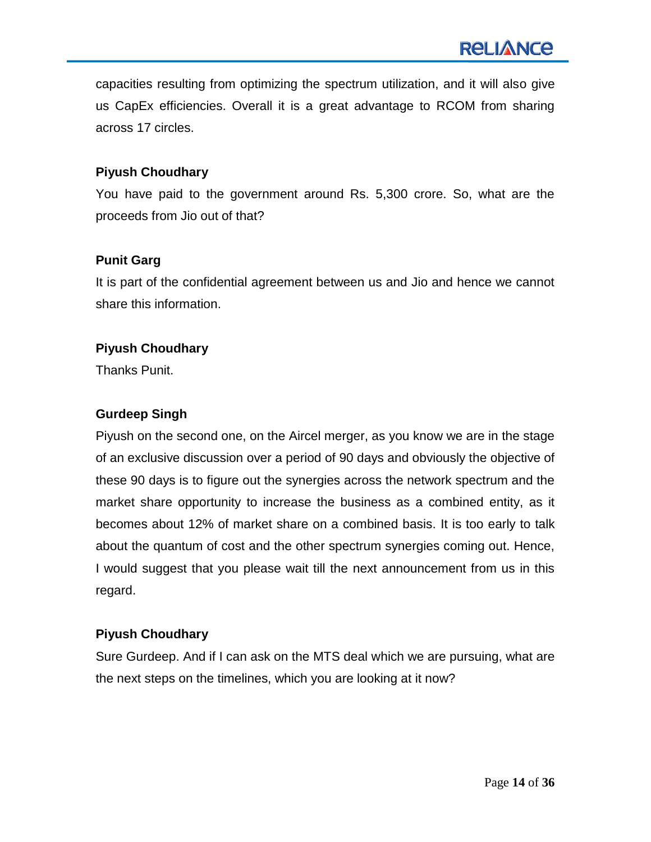capacities resulting from optimizing the spectrum utilization, and it will also give us CapEx efficiencies. Overall it is a great advantage to RCOM from sharing across 17 circles.

#### **Piyush Choudhary**

You have paid to the government around Rs. 5,300 crore. So, what are the proceeds from Jio out of that?

#### **Punit Garg**

It is part of the confidential agreement between us and Jio and hence we cannot share this information.

#### **Piyush Choudhary**

Thanks Punit.

#### **Gurdeep Singh**

Piyush on the second one, on the Aircel merger, as you know we are in the stage of an exclusive discussion over a period of 90 days and obviously the objective of these 90 days is to figure out the synergies across the network spectrum and the market share opportunity to increase the business as a combined entity, as it becomes about 12% of market share on a combined basis. It is too early to talk about the quantum of cost and the other spectrum synergies coming out. Hence, I would suggest that you please wait till the next announcement from us in this regard.

#### **Piyush Choudhary**

Sure Gurdeep. And if I can ask on the MTS deal which we are pursuing, what are the next steps on the timelines, which you are looking at it now?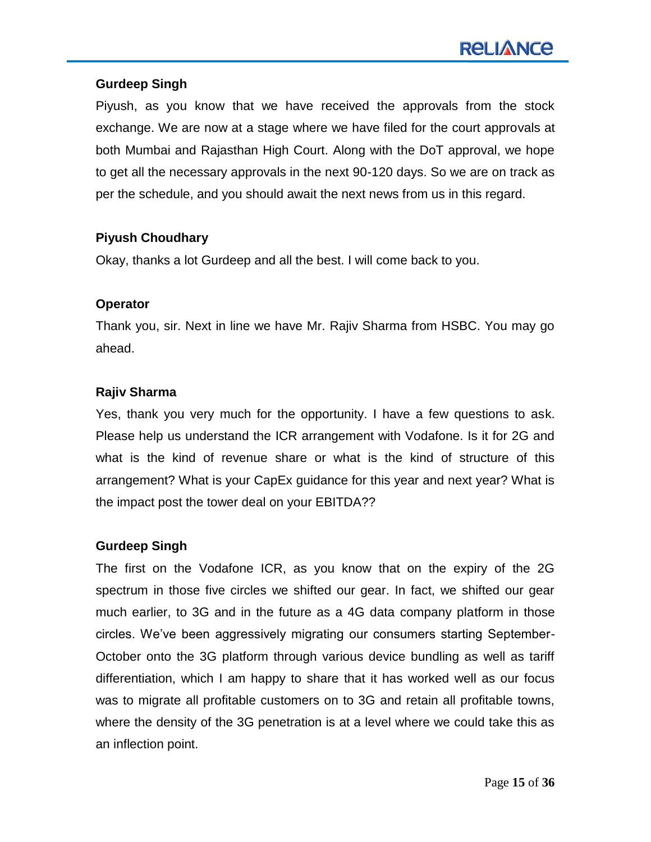#### **Gurdeep Singh**

Piyush, as you know that we have received the approvals from the stock exchange. We are now at a stage where we have filed for the court approvals at both Mumbai and Rajasthan High Court. Along with the DoT approval, we hope to get all the necessary approvals in the next 90-120 days. So we are on track as per the schedule, and you should await the next news from us in this regard.

#### **Piyush Choudhary**

Okay, thanks a lot Gurdeep and all the best. I will come back to you.

#### **Operator**

Thank you, sir. Next in line we have Mr. Rajiv Sharma from HSBC. You may go ahead.

# **Rajiv Sharma**

Yes, thank you very much for the opportunity. I have a few questions to ask. Please help us understand the ICR arrangement with Vodafone. Is it for 2G and what is the kind of revenue share or what is the kind of structure of this arrangement? What is your CapEx guidance for this year and next year? What is the impact post the tower deal on your EBITDA??

# **Gurdeep Singh**

The first on the Vodafone ICR, as you know that on the expiry of the 2G spectrum in those five circles we shifted our gear. In fact, we shifted our gear much earlier, to 3G and in the future as a 4G data company platform in those circles. We've been aggressively migrating our consumers starting September-October onto the 3G platform through various device bundling as well as tariff differentiation, which I am happy to share that it has worked well as our focus was to migrate all profitable customers on to 3G and retain all profitable towns, where the density of the 3G penetration is at a level where we could take this as an inflection point.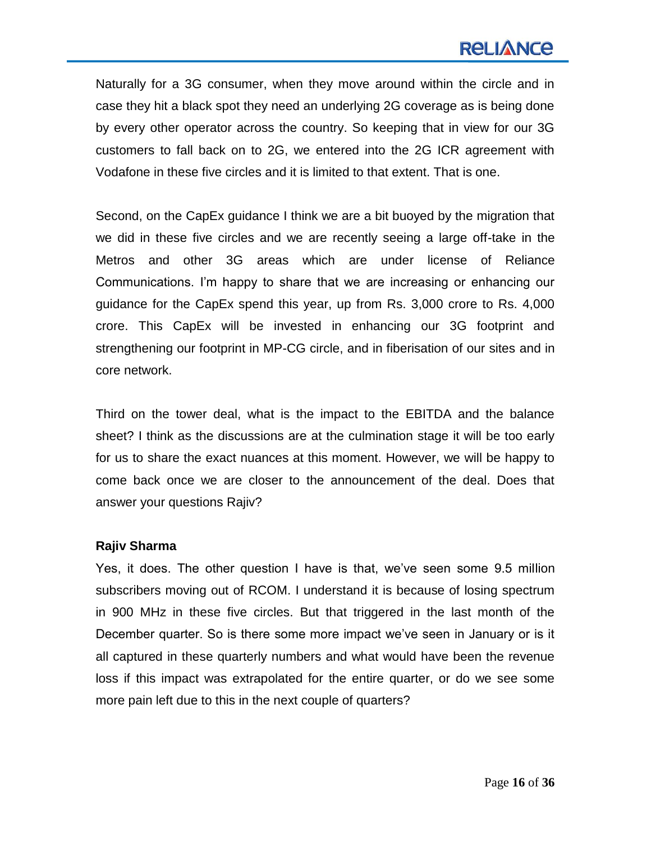# **RELIANCE**

Naturally for a 3G consumer, when they move around within the circle and in case they hit a black spot they need an underlying 2G coverage as is being done by every other operator across the country. So keeping that in view for our 3G customers to fall back on to 2G, we entered into the 2G ICR agreement with Vodafone in these five circles and it is limited to that extent. That is one.

Second, on the CapEx guidance I think we are a bit buoyed by the migration that we did in these five circles and we are recently seeing a large off-take in the Metros and other 3G areas which are under license of Reliance Communications. I"m happy to share that we are increasing or enhancing our guidance for the CapEx spend this year, up from Rs. 3,000 crore to Rs. 4,000 crore. This CapEx will be invested in enhancing our 3G footprint and strengthening our footprint in MP-CG circle, and in fiberisation of our sites and in core network.

Third on the tower deal, what is the impact to the EBITDA and the balance sheet? I think as the discussions are at the culmination stage it will be too early for us to share the exact nuances at this moment. However, we will be happy to come back once we are closer to the announcement of the deal. Does that answer your questions Rajiv?

#### **Rajiv Sharma**

Yes, it does. The other question I have is that, we"ve seen some 9.5 million subscribers moving out of RCOM. I understand it is because of losing spectrum in 900 MHz in these five circles. But that triggered in the last month of the December quarter. So is there some more impact we"ve seen in January or is it all captured in these quarterly numbers and what would have been the revenue loss if this impact was extrapolated for the entire quarter, or do we see some more pain left due to this in the next couple of quarters?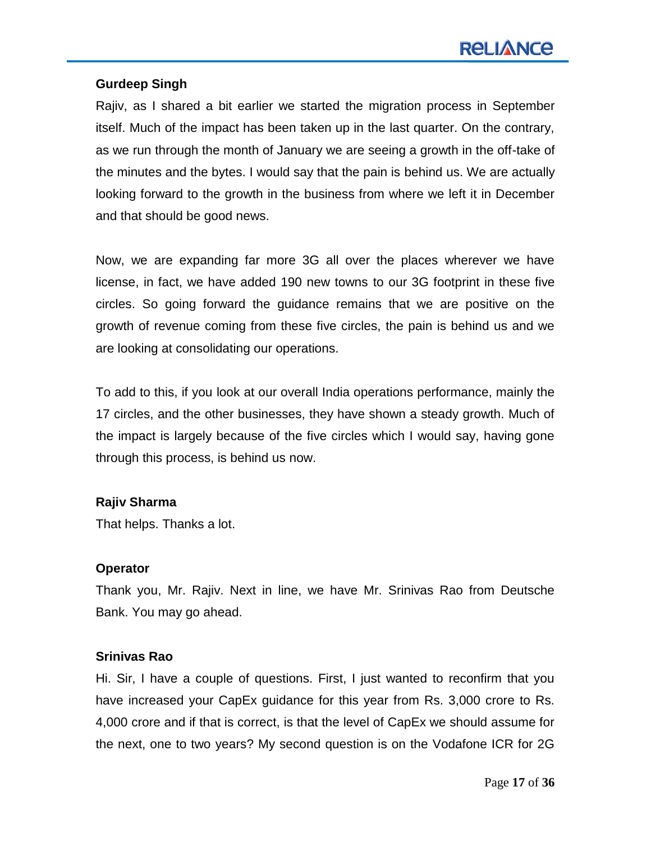# **Gurdeep Singh**

Rajiv, as I shared a bit earlier we started the migration process in September itself. Much of the impact has been taken up in the last quarter. On the contrary, as we run through the month of January we are seeing a growth in the off-take of the minutes and the bytes. I would say that the pain is behind us. We are actually looking forward to the growth in the business from where we left it in December and that should be good news.

Now, we are expanding far more 3G all over the places wherever we have license, in fact, we have added 190 new towns to our 3G footprint in these five circles. So going forward the guidance remains that we are positive on the growth of revenue coming from these five circles, the pain is behind us and we are looking at consolidating our operations.

To add to this, if you look at our overall India operations performance, mainly the 17 circles, and the other businesses, they have shown a steady growth. Much of the impact is largely because of the five circles which I would say, having gone through this process, is behind us now.

# **Rajiv Sharma**

That helps. Thanks a lot.

#### **Operator**

Thank you, Mr. Rajiv. Next in line, we have Mr. Srinivas Rao from Deutsche Bank. You may go ahead.

#### **Srinivas Rao**

Hi. Sir, I have a couple of questions. First, I just wanted to reconfirm that you have increased your CapEx guidance for this year from Rs. 3,000 crore to Rs. 4,000 crore and if that is correct, is that the level of CapEx we should assume for the next, one to two years? My second question is on the Vodafone ICR for 2G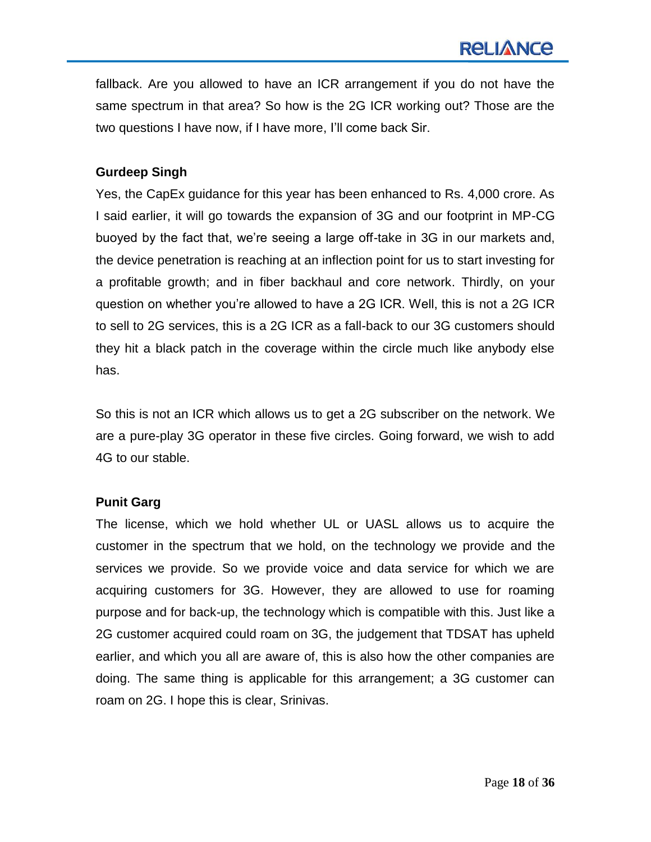fallback. Are you allowed to have an ICR arrangement if you do not have the same spectrum in that area? So how is the 2G ICR working out? Those are the two questions I have now, if I have more, I"ll come back Sir.

#### **Gurdeep Singh**

Yes, the CapEx guidance for this year has been enhanced to Rs. 4,000 crore. As I said earlier, it will go towards the expansion of 3G and our footprint in MP-CG buoyed by the fact that, we"re seeing a large off-take in 3G in our markets and, the device penetration is reaching at an inflection point for us to start investing for a profitable growth; and in fiber backhaul and core network. Thirdly, on your question on whether you"re allowed to have a 2G ICR. Well, this is not a 2G ICR to sell to 2G services, this is a 2G ICR as a fall-back to our 3G customers should they hit a black patch in the coverage within the circle much like anybody else has.

So this is not an ICR which allows us to get a 2G subscriber on the network. We are a pure-play 3G operator in these five circles. Going forward, we wish to add 4G to our stable.

#### **Punit Garg**

The license, which we hold whether UL or UASL allows us to acquire the customer in the spectrum that we hold, on the technology we provide and the services we provide. So we provide voice and data service for which we are acquiring customers for 3G. However, they are allowed to use for roaming purpose and for back-up, the technology which is compatible with this. Just like a 2G customer acquired could roam on 3G, the judgement that TDSAT has upheld earlier, and which you all are aware of, this is also how the other companies are doing. The same thing is applicable for this arrangement; a 3G customer can roam on 2G. I hope this is clear, Srinivas.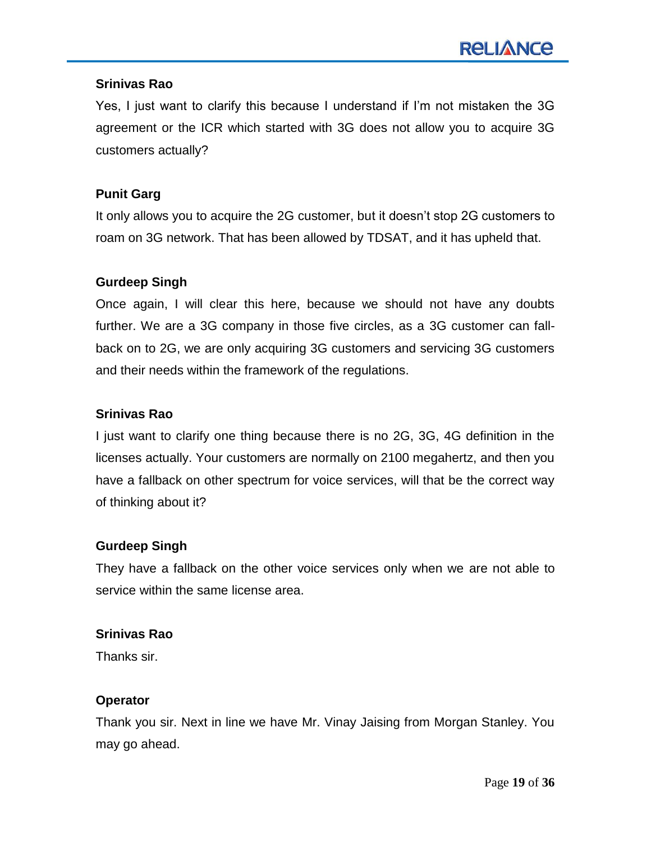#### **Srinivas Rao**

Yes, I just want to clarify this because I understand if I"m not mistaken the 3G agreement or the ICR which started with 3G does not allow you to acquire 3G customers actually?

#### **Punit Garg**

It only allows you to acquire the 2G customer, but it doesn"t stop 2G customers to roam on 3G network. That has been allowed by TDSAT, and it has upheld that.

#### **Gurdeep Singh**

Once again, I will clear this here, because we should not have any doubts further. We are a 3G company in those five circles, as a 3G customer can fallback on to 2G, we are only acquiring 3G customers and servicing 3G customers and their needs within the framework of the regulations.

#### **Srinivas Rao**

I just want to clarify one thing because there is no 2G, 3G, 4G definition in the licenses actually. Your customers are normally on 2100 megahertz, and then you have a fallback on other spectrum for voice services, will that be the correct way of thinking about it?

#### **Gurdeep Singh**

They have a fallback on the other voice services only when we are not able to service within the same license area.

#### **Srinivas Rao**

Thanks sir.

# **Operator**

Thank you sir. Next in line we have Mr. Vinay Jaising from Morgan Stanley. You may go ahead.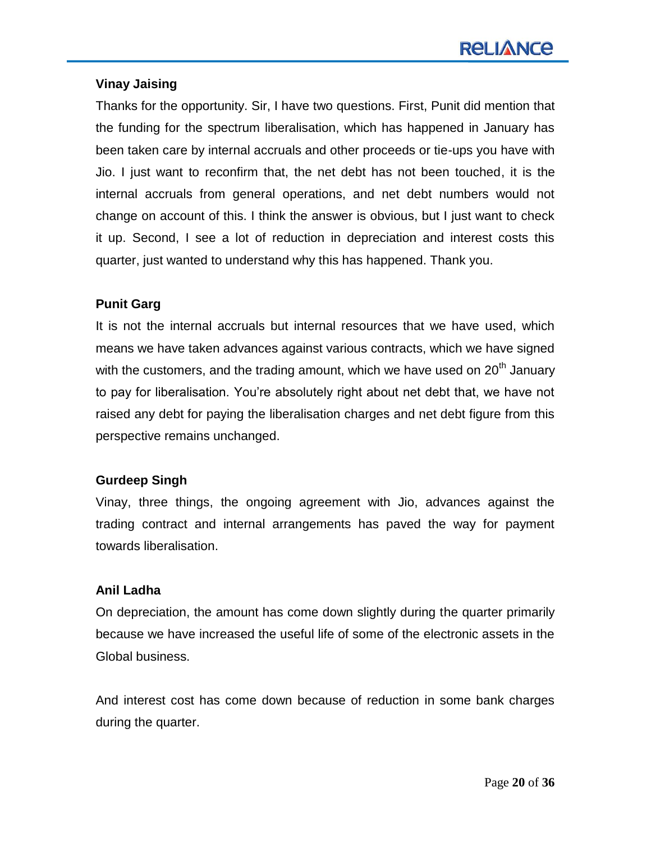# **Vinay Jaising**

Thanks for the opportunity. Sir, I have two questions. First, Punit did mention that the funding for the spectrum liberalisation, which has happened in January has been taken care by internal accruals and other proceeds or tie-ups you have with Jio. I just want to reconfirm that, the net debt has not been touched, it is the internal accruals from general operations, and net debt numbers would not change on account of this. I think the answer is obvious, but I just want to check it up. Second, I see a lot of reduction in depreciation and interest costs this quarter, just wanted to understand why this has happened. Thank you.

# **Punit Garg**

It is not the internal accruals but internal resources that we have used, which means we have taken advances against various contracts, which we have signed with the customers, and the trading amount, which we have used on  $20<sup>th</sup>$  January to pay for liberalisation. You"re absolutely right about net debt that, we have not raised any debt for paying the liberalisation charges and net debt figure from this perspective remains unchanged.

# **Gurdeep Singh**

Vinay, three things, the ongoing agreement with Jio, advances against the trading contract and internal arrangements has paved the way for payment towards liberalisation.

# **Anil Ladha**

On depreciation, the amount has come down slightly during the quarter primarily because we have increased the useful life of some of the electronic assets in the Global business.

And interest cost has come down because of reduction in some bank charges during the quarter.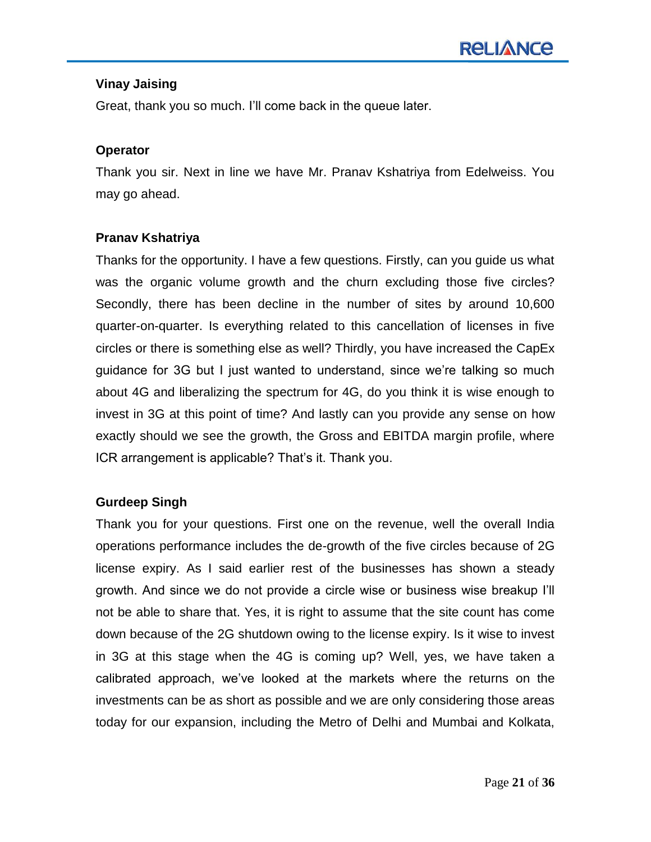# **Vinay Jaising**

Great, thank you so much. I"ll come back in the queue later.

# **Operator**

Thank you sir. Next in line we have Mr. Pranav Kshatriya from Edelweiss. You may go ahead.

# **Pranav Kshatriya**

Thanks for the opportunity. I have a few questions. Firstly, can you guide us what was the organic volume growth and the churn excluding those five circles? Secondly, there has been decline in the number of sites by around 10,600 quarter-on-quarter. Is everything related to this cancellation of licenses in five circles or there is something else as well? Thirdly, you have increased the CapEx guidance for 3G but I just wanted to understand, since we"re talking so much about 4G and liberalizing the spectrum for 4G, do you think it is wise enough to invest in 3G at this point of time? And lastly can you provide any sense on how exactly should we see the growth, the Gross and EBITDA margin profile, where ICR arrangement is applicable? That"s it. Thank you.

# **Gurdeep Singh**

Thank you for your questions. First one on the revenue, well the overall India operations performance includes the de-growth of the five circles because of 2G license expiry. As I said earlier rest of the businesses has shown a steady growth. And since we do not provide a circle wise or business wise breakup I"ll not be able to share that. Yes, it is right to assume that the site count has come down because of the 2G shutdown owing to the license expiry. Is it wise to invest in 3G at this stage when the 4G is coming up? Well, yes, we have taken a calibrated approach, we"ve looked at the markets where the returns on the investments can be as short as possible and we are only considering those areas today for our expansion, including the Metro of Delhi and Mumbai and Kolkata,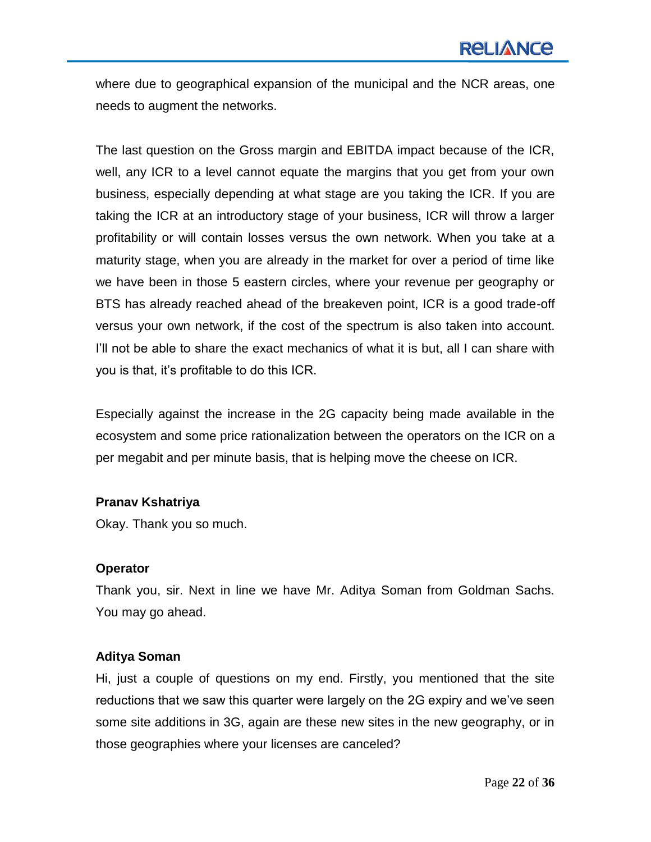where due to geographical expansion of the municipal and the NCR areas, one needs to augment the networks.

The last question on the Gross margin and EBITDA impact because of the ICR, well, any ICR to a level cannot equate the margins that you get from your own business, especially depending at what stage are you taking the ICR. If you are taking the ICR at an introductory stage of your business, ICR will throw a larger profitability or will contain losses versus the own network. When you take at a maturity stage, when you are already in the market for over a period of time like we have been in those 5 eastern circles, where your revenue per geography or BTS has already reached ahead of the breakeven point, ICR is a good trade-off versus your own network, if the cost of the spectrum is also taken into account. I"ll not be able to share the exact mechanics of what it is but, all I can share with you is that, it"s profitable to do this ICR.

Especially against the increase in the 2G capacity being made available in the ecosystem and some price rationalization between the operators on the ICR on a per megabit and per minute basis, that is helping move the cheese on ICR.

#### **Pranav Kshatriya**

Okay. Thank you so much.

#### **Operator**

Thank you, sir. Next in line we have Mr. Aditya Soman from Goldman Sachs. You may go ahead.

#### **Aditya Soman**

Hi, just a couple of questions on my end. Firstly, you mentioned that the site reductions that we saw this quarter were largely on the 2G expiry and we've seen some site additions in 3G, again are these new sites in the new geography, or in those geographies where your licenses are canceled?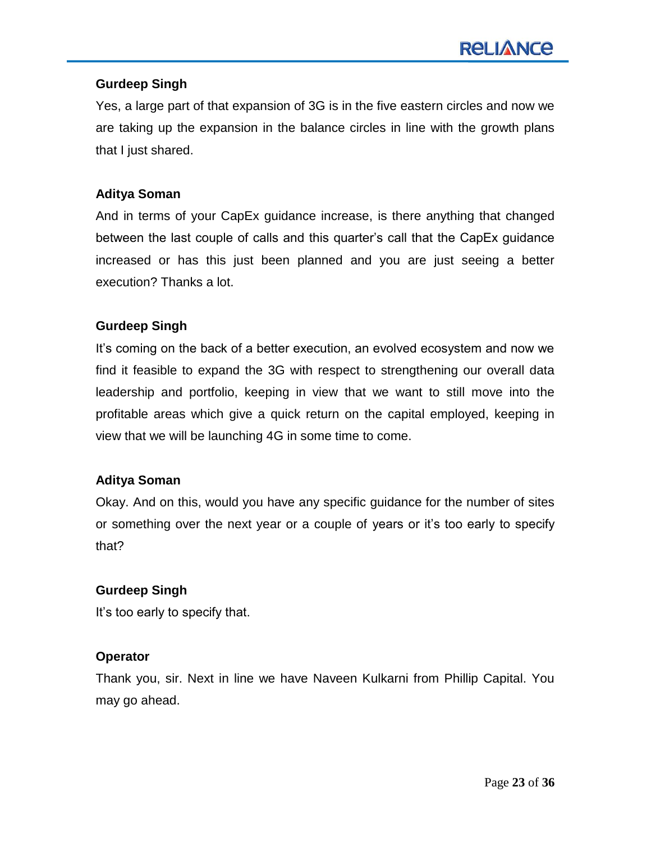# **Gurdeep Singh**

Yes, a large part of that expansion of 3G is in the five eastern circles and now we are taking up the expansion in the balance circles in line with the growth plans that I just shared.

#### **Aditya Soman**

And in terms of your CapEx guidance increase, is there anything that changed between the last couple of calls and this quarter"s call that the CapEx guidance increased or has this just been planned and you are just seeing a better execution? Thanks a lot.

#### **Gurdeep Singh**

It's coming on the back of a better execution, an evolved ecosystem and now we find it feasible to expand the 3G with respect to strengthening our overall data leadership and portfolio, keeping in view that we want to still move into the profitable areas which give a quick return on the capital employed, keeping in view that we will be launching 4G in some time to come.

#### **Aditya Soman**

Okay. And on this, would you have any specific guidance for the number of sites or something over the next year or a couple of years or it"s too early to specify that?

# **Gurdeep Singh**

It's too early to specify that.

# **Operator**

Thank you, sir. Next in line we have Naveen Kulkarni from Phillip Capital. You may go ahead.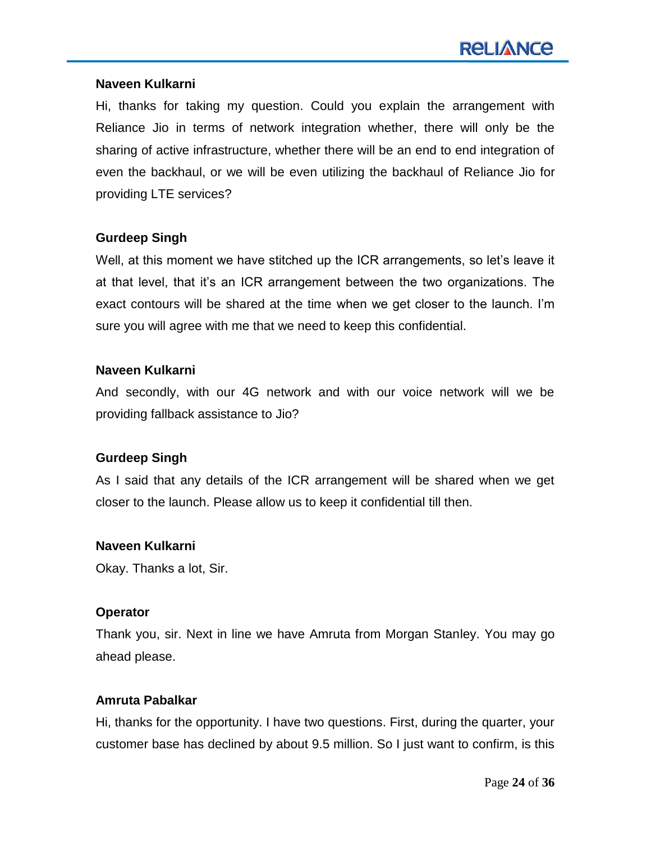#### **Naveen Kulkarni**

Hi, thanks for taking my question. Could you explain the arrangement with Reliance Jio in terms of network integration whether, there will only be the sharing of active infrastructure, whether there will be an end to end integration of even the backhaul, or we will be even utilizing the backhaul of Reliance Jio for providing LTE services?

#### **Gurdeep Singh**

Well, at this moment we have stitched up the ICR arrangements, so let's leave it at that level, that it"s an ICR arrangement between the two organizations. The exact contours will be shared at the time when we get closer to the launch. I'm sure you will agree with me that we need to keep this confidential.

#### **Naveen Kulkarni**

And secondly, with our 4G network and with our voice network will we be providing fallback assistance to Jio?

# **Gurdeep Singh**

As I said that any details of the ICR arrangement will be shared when we get closer to the launch. Please allow us to keep it confidential till then.

#### **Naveen Kulkarni**

Okay. Thanks a lot, Sir.

#### **Operator**

Thank you, sir. Next in line we have Amruta from Morgan Stanley. You may go ahead please.

#### **Amruta Pabalkar**

Hi, thanks for the opportunity. I have two questions. First, during the quarter, your customer base has declined by about 9.5 million. So I just want to confirm, is this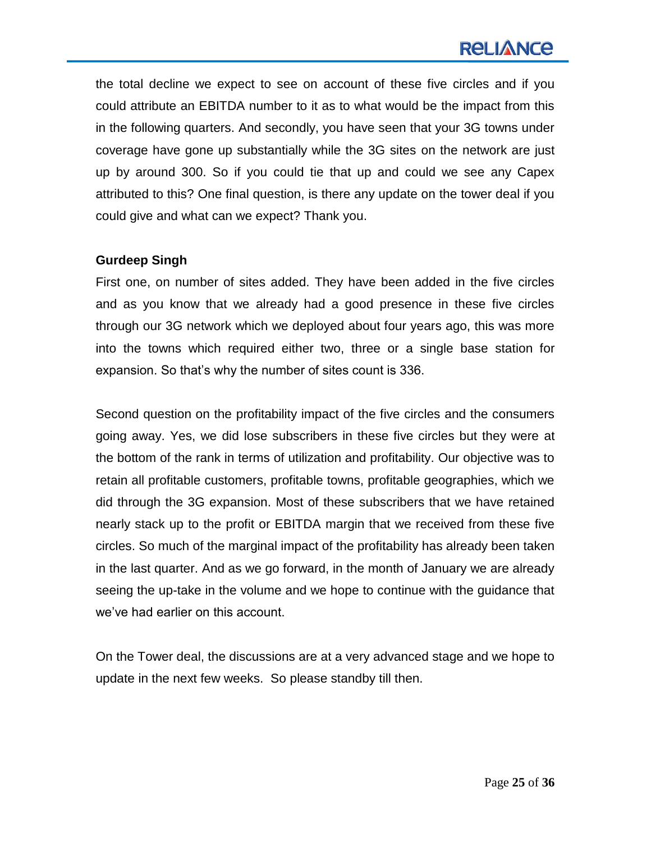# **RELIANCE**

the total decline we expect to see on account of these five circles and if you could attribute an EBITDA number to it as to what would be the impact from this in the following quarters. And secondly, you have seen that your 3G towns under coverage have gone up substantially while the 3G sites on the network are just up by around 300. So if you could tie that up and could we see any Capex attributed to this? One final question, is there any update on the tower deal if you could give and what can we expect? Thank you.

#### **Gurdeep Singh**

First one, on number of sites added. They have been added in the five circles and as you know that we already had a good presence in these five circles through our 3G network which we deployed about four years ago, this was more into the towns which required either two, three or a single base station for expansion. So that's why the number of sites count is 336.

Second question on the profitability impact of the five circles and the consumers going away. Yes, we did lose subscribers in these five circles but they were at the bottom of the rank in terms of utilization and profitability. Our objective was to retain all profitable customers, profitable towns, profitable geographies, which we did through the 3G expansion. Most of these subscribers that we have retained nearly stack up to the profit or EBITDA margin that we received from these five circles. So much of the marginal impact of the profitability has already been taken in the last quarter. And as we go forward, in the month of January we are already seeing the up-take in the volume and we hope to continue with the guidance that we"ve had earlier on this account.

On the Tower deal, the discussions are at a very advanced stage and we hope to update in the next few weeks. So please standby till then.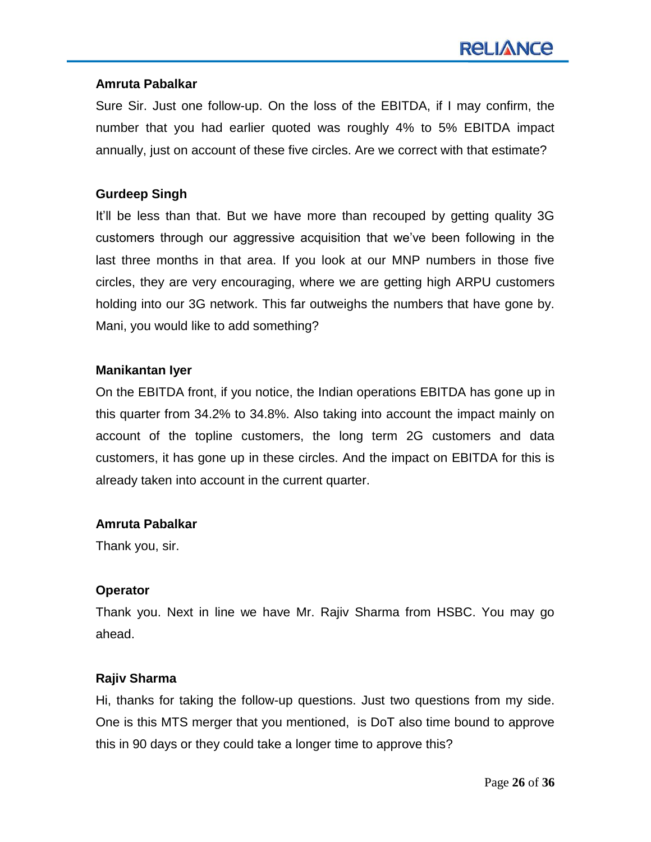#### **Amruta Pabalkar**

Sure Sir. Just one follow-up. On the loss of the EBITDA, if I may confirm, the number that you had earlier quoted was roughly 4% to 5% EBITDA impact annually, just on account of these five circles. Are we correct with that estimate?

#### **Gurdeep Singh**

It"ll be less than that. But we have more than recouped by getting quality 3G customers through our aggressive acquisition that we"ve been following in the last three months in that area. If you look at our MNP numbers in those five circles, they are very encouraging, where we are getting high ARPU customers holding into our 3G network. This far outweighs the numbers that have gone by. Mani, you would like to add something?

#### **Manikantan Iyer**

On the EBITDA front, if you notice, the Indian operations EBITDA has gone up in this quarter from 34.2% to 34.8%. Also taking into account the impact mainly on account of the topline customers, the long term 2G customers and data customers, it has gone up in these circles. And the impact on EBITDA for this is already taken into account in the current quarter.

#### **Amruta Pabalkar**

Thank you, sir.

# **Operator**

Thank you. Next in line we have Mr. Rajiv Sharma from HSBC. You may go ahead.

# **Rajiv Sharma**

Hi, thanks for taking the follow-up questions. Just two questions from my side. One is this MTS merger that you mentioned, is DoT also time bound to approve this in 90 days or they could take a longer time to approve this?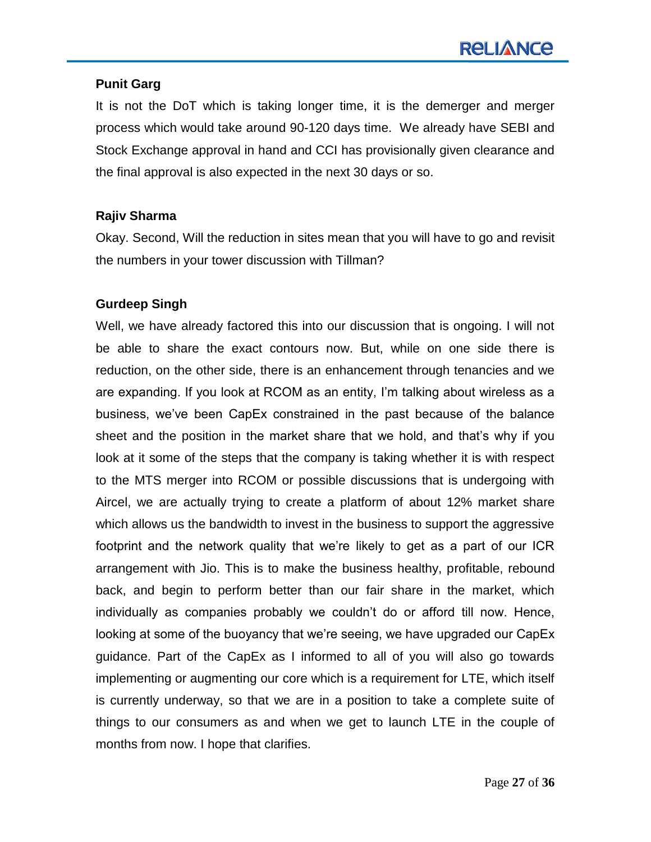#### **Punit Garg**

It is not the DoT which is taking longer time, it is the demerger and merger process which would take around 90-120 days time. We already have SEBI and Stock Exchange approval in hand and CCI has provisionally given clearance and the final approval is also expected in the next 30 days or so.

# **Rajiv Sharma**

Okay. Second, Will the reduction in sites mean that you will have to go and revisit the numbers in your tower discussion with Tillman?

#### **Gurdeep Singh**

Well, we have already factored this into our discussion that is ongoing. I will not be able to share the exact contours now. But, while on one side there is reduction, on the other side, there is an enhancement through tenancies and we are expanding. If you look at RCOM as an entity, I"m talking about wireless as a business, we"ve been CapEx constrained in the past because of the balance sheet and the position in the market share that we hold, and that"s why if you look at it some of the steps that the company is taking whether it is with respect to the MTS merger into RCOM or possible discussions that is undergoing with Aircel, we are actually trying to create a platform of about 12% market share which allows us the bandwidth to invest in the business to support the aggressive footprint and the network quality that we"re likely to get as a part of our ICR arrangement with Jio. This is to make the business healthy, profitable, rebound back, and begin to perform better than our fair share in the market, which individually as companies probably we couldn"t do or afford till now. Hence, looking at some of the buoyancy that we're seeing, we have upgraded our CapEx guidance. Part of the CapEx as I informed to all of you will also go towards implementing or augmenting our core which is a requirement for LTE, which itself is currently underway, so that we are in a position to take a complete suite of things to our consumers as and when we get to launch LTE in the couple of months from now. I hope that clarifies.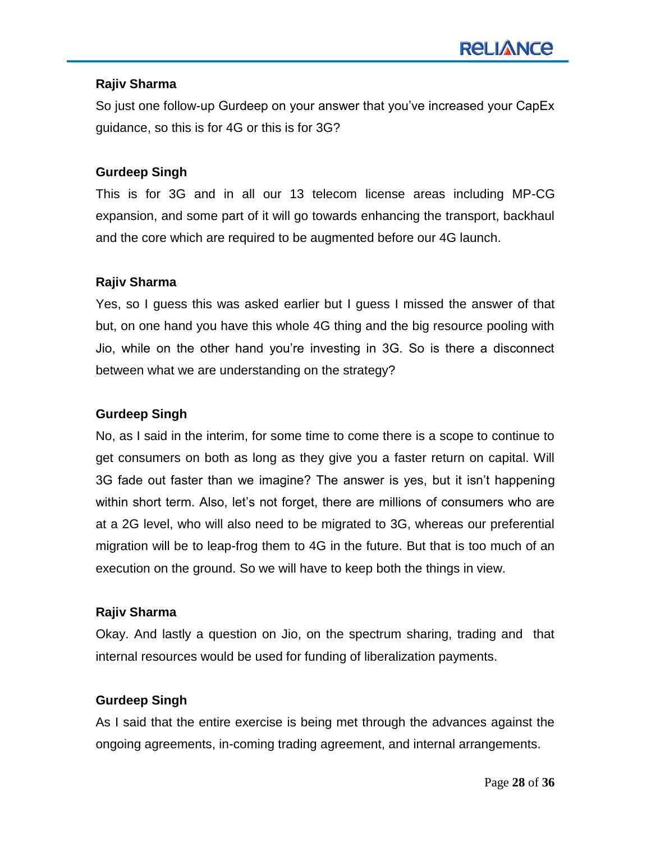#### **Rajiv Sharma**

So just one follow-up Gurdeep on your answer that you"ve increased your CapEx guidance, so this is for 4G or this is for 3G?

#### **Gurdeep Singh**

This is for 3G and in all our 13 telecom license areas including MP-CG expansion, and some part of it will go towards enhancing the transport, backhaul and the core which are required to be augmented before our 4G launch.

#### **Rajiv Sharma**

Yes, so I guess this was asked earlier but I guess I missed the answer of that but, on one hand you have this whole 4G thing and the big resource pooling with Jio, while on the other hand you"re investing in 3G. So is there a disconnect between what we are understanding on the strategy?

#### **Gurdeep Singh**

No, as I said in the interim, for some time to come there is a scope to continue to get consumers on both as long as they give you a faster return on capital. Will 3G fade out faster than we imagine? The answer is yes, but it isn"t happening within short term. Also, let's not forget, there are millions of consumers who are at a 2G level, who will also need to be migrated to 3G, whereas our preferential migration will be to leap-frog them to 4G in the future. But that is too much of an execution on the ground. So we will have to keep both the things in view.

#### **Rajiv Sharma**

Okay. And lastly a question on Jio, on the spectrum sharing, trading and that internal resources would be used for funding of liberalization payments.

# **Gurdeep Singh**

As I said that the entire exercise is being met through the advances against the ongoing agreements, in-coming trading agreement, and internal arrangements.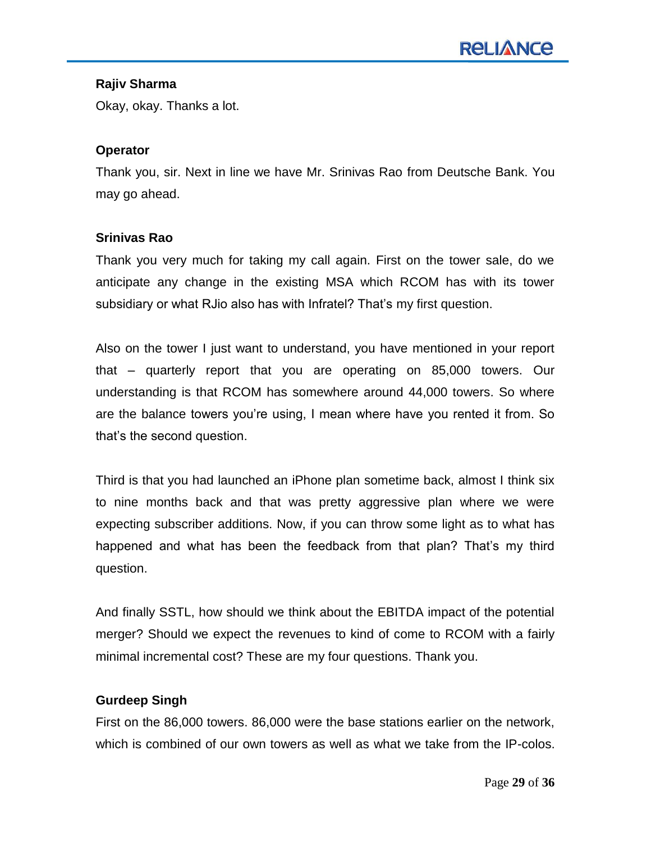#### **Rajiv Sharma**

Okay, okay. Thanks a lot.

#### **Operator**

Thank you, sir. Next in line we have Mr. Srinivas Rao from Deutsche Bank. You may go ahead.

#### **Srinivas Rao**

Thank you very much for taking my call again. First on the tower sale, do we anticipate any change in the existing MSA which RCOM has with its tower subsidiary or what RJio also has with Infratel? That"s my first question.

Also on the tower I just want to understand, you have mentioned in your report that – quarterly report that you are operating on 85,000 towers. Our understanding is that RCOM has somewhere around 44,000 towers. So where are the balance towers you"re using, I mean where have you rented it from. So that"s the second question.

Third is that you had launched an iPhone plan sometime back, almost I think six to nine months back and that was pretty aggressive plan where we were expecting subscriber additions. Now, if you can throw some light as to what has happened and what has been the feedback from that plan? That"s my third question.

And finally SSTL, how should we think about the EBITDA impact of the potential merger? Should we expect the revenues to kind of come to RCOM with a fairly minimal incremental cost? These are my four questions. Thank you.

# **Gurdeep Singh**

First on the 86,000 towers. 86,000 were the base stations earlier on the network, which is combined of our own towers as well as what we take from the IP-colos.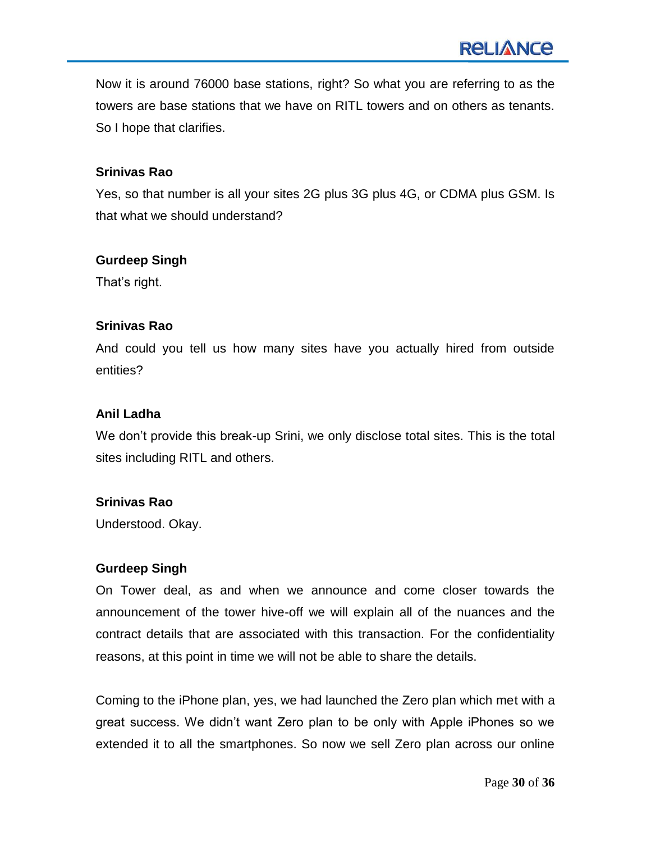Now it is around 76000 base stations, right? So what you are referring to as the towers are base stations that we have on RITL towers and on others as tenants. So I hope that clarifies.

#### **Srinivas Rao**

Yes, so that number is all your sites 2G plus 3G plus 4G, or CDMA plus GSM. Is that what we should understand?

#### **Gurdeep Singh**

That"s right.

#### **Srinivas Rao**

And could you tell us how many sites have you actually hired from outside entities?

# **Anil Ladha**

We don"t provide this break-up Srini, we only disclose total sites. This is the total sites including RITL and others.

# **Srinivas Rao**

Understood. Okay.

# **Gurdeep Singh**

On Tower deal, as and when we announce and come closer towards the announcement of the tower hive-off we will explain all of the nuances and the contract details that are associated with this transaction. For the confidentiality reasons, at this point in time we will not be able to share the details.

Coming to the iPhone plan, yes, we had launched the Zero plan which met with a great success. We didn"t want Zero plan to be only with Apple iPhones so we extended it to all the smartphones. So now we sell Zero plan across our online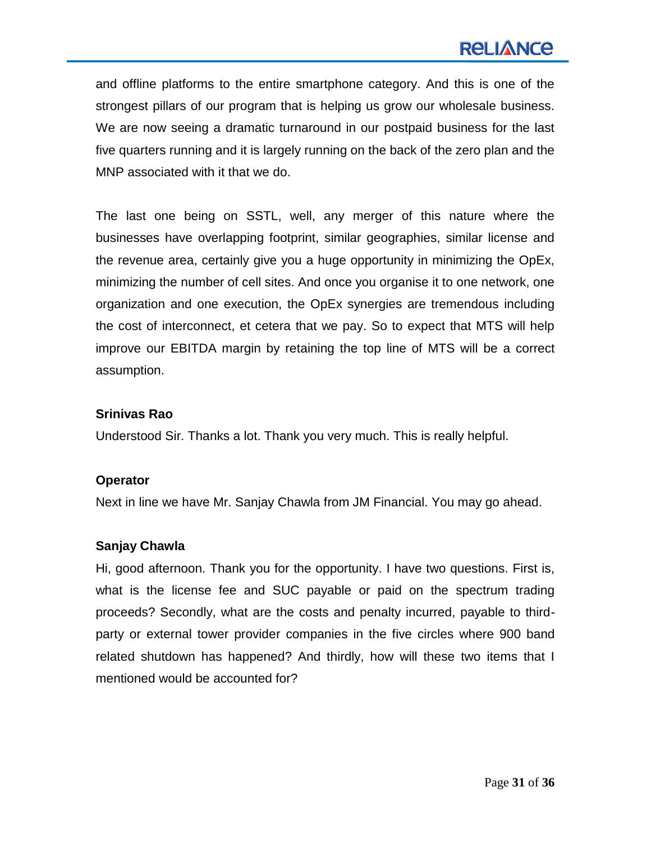and offline platforms to the entire smartphone category. And this is one of the strongest pillars of our program that is helping us grow our wholesale business. We are now seeing a dramatic turnaround in our postpaid business for the last five quarters running and it is largely running on the back of the zero plan and the MNP associated with it that we do.

The last one being on SSTL, well, any merger of this nature where the businesses have overlapping footprint, similar geographies, similar license and the revenue area, certainly give you a huge opportunity in minimizing the OpEx, minimizing the number of cell sites. And once you organise it to one network, one organization and one execution, the OpEx synergies are tremendous including the cost of interconnect, et cetera that we pay. So to expect that MTS will help improve our EBITDA margin by retaining the top line of MTS will be a correct assumption.

#### **Srinivas Rao**

Understood Sir. Thanks a lot. Thank you very much. This is really helpful.

# **Operator**

Next in line we have Mr. Sanjay Chawla from JM Financial. You may go ahead.

# **Sanjay Chawla**

Hi, good afternoon. Thank you for the opportunity. I have two questions. First is, what is the license fee and SUC payable or paid on the spectrum trading proceeds? Secondly, what are the costs and penalty incurred, payable to thirdparty or external tower provider companies in the five circles where 900 band related shutdown has happened? And thirdly, how will these two items that I mentioned would be accounted for?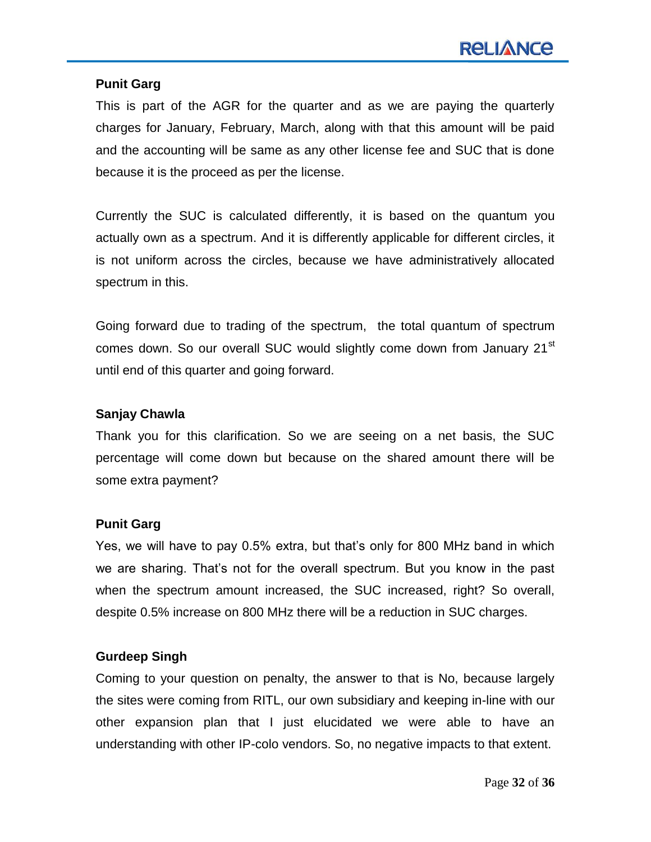#### **Punit Garg**

This is part of the AGR for the quarter and as we are paying the quarterly charges for January, February, March, along with that this amount will be paid and the accounting will be same as any other license fee and SUC that is done because it is the proceed as per the license.

Currently the SUC is calculated differently, it is based on the quantum you actually own as a spectrum. And it is differently applicable for different circles, it is not uniform across the circles, because we have administratively allocated spectrum in this.

Going forward due to trading of the spectrum, the total quantum of spectrum comes down. So our overall SUC would slightly come down from January 21<sup>st</sup> until end of this quarter and going forward.

#### **Sanjay Chawla**

Thank you for this clarification. So we are seeing on a net basis, the SUC percentage will come down but because on the shared amount there will be some extra payment?

#### **Punit Garg**

Yes, we will have to pay 0.5% extra, but that"s only for 800 MHz band in which we are sharing. That"s not for the overall spectrum. But you know in the past when the spectrum amount increased, the SUC increased, right? So overall, despite 0.5% increase on 800 MHz there will be a reduction in SUC charges.

#### **Gurdeep Singh**

Coming to your question on penalty, the answer to that is No, because largely the sites were coming from RITL, our own subsidiary and keeping in-line with our other expansion plan that I just elucidated we were able to have an understanding with other IP-colo vendors. So, no negative impacts to that extent.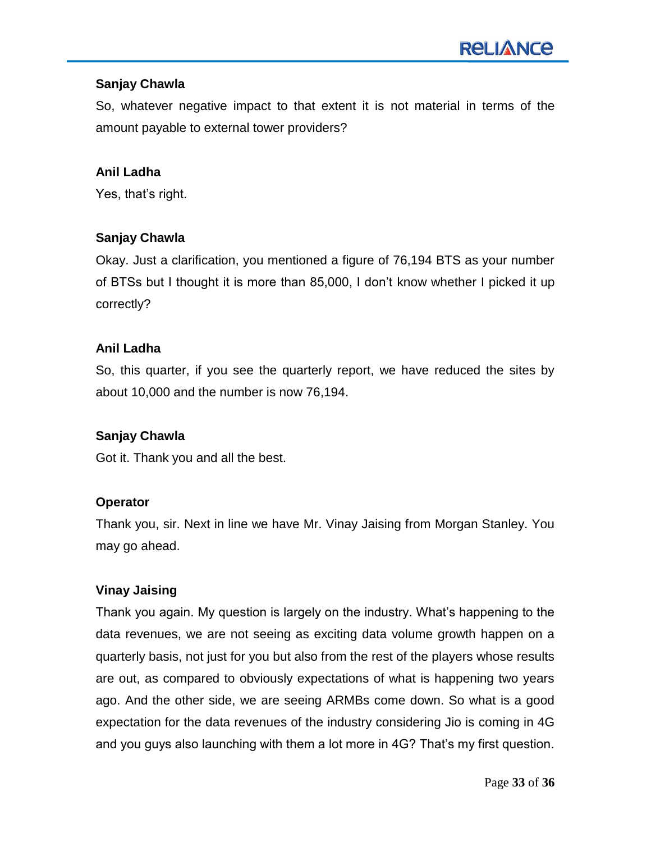# **Sanjay Chawla**

So, whatever negative impact to that extent it is not material in terms of the amount payable to external tower providers?

#### **Anil Ladha**

Yes, that's right.

# **Sanjay Chawla**

Okay. Just a clarification, you mentioned a figure of 76,194 BTS as your number of BTSs but I thought it is more than 85,000, I don"t know whether I picked it up correctly?

#### **Anil Ladha**

So, this quarter, if you see the quarterly report, we have reduced the sites by about 10,000 and the number is now 76,194.

#### **Sanjay Chawla**

Got it. Thank you and all the best.

# **Operator**

Thank you, sir. Next in line we have Mr. Vinay Jaising from Morgan Stanley. You may go ahead.

# **Vinay Jaising**

Thank you again. My question is largely on the industry. What"s happening to the data revenues, we are not seeing as exciting data volume growth happen on a quarterly basis, not just for you but also from the rest of the players whose results are out, as compared to obviously expectations of what is happening two years ago. And the other side, we are seeing ARMBs come down. So what is a good expectation for the data revenues of the industry considering Jio is coming in 4G and you guys also launching with them a lot more in 4G? That"s my first question.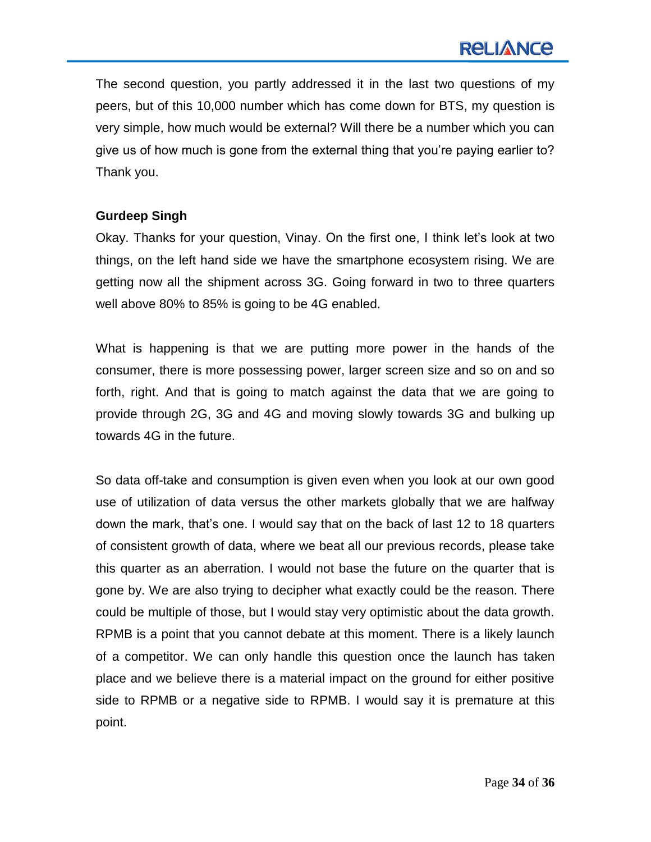The second question, you partly addressed it in the last two questions of my peers, but of this 10,000 number which has come down for BTS, my question is very simple, how much would be external? Will there be a number which you can give us of how much is gone from the external thing that you"re paying earlier to? Thank you.

#### **Gurdeep Singh**

Okay. Thanks for your question, Vinay. On the first one, I think let"s look at two things, on the left hand side we have the smartphone ecosystem rising. We are getting now all the shipment across 3G. Going forward in two to three quarters well above 80% to 85% is going to be 4G enabled.

What is happening is that we are putting more power in the hands of the consumer, there is more possessing power, larger screen size and so on and so forth, right. And that is going to match against the data that we are going to provide through 2G, 3G and 4G and moving slowly towards 3G and bulking up towards 4G in the future.

So data off-take and consumption is given even when you look at our own good use of utilization of data versus the other markets globally that we are halfway down the mark, that"s one. I would say that on the back of last 12 to 18 quarters of consistent growth of data, where we beat all our previous records, please take this quarter as an aberration. I would not base the future on the quarter that is gone by. We are also trying to decipher what exactly could be the reason. There could be multiple of those, but I would stay very optimistic about the data growth. RPMB is a point that you cannot debate at this moment. There is a likely launch of a competitor. We can only handle this question once the launch has taken place and we believe there is a material impact on the ground for either positive side to RPMB or a negative side to RPMB. I would say it is premature at this point.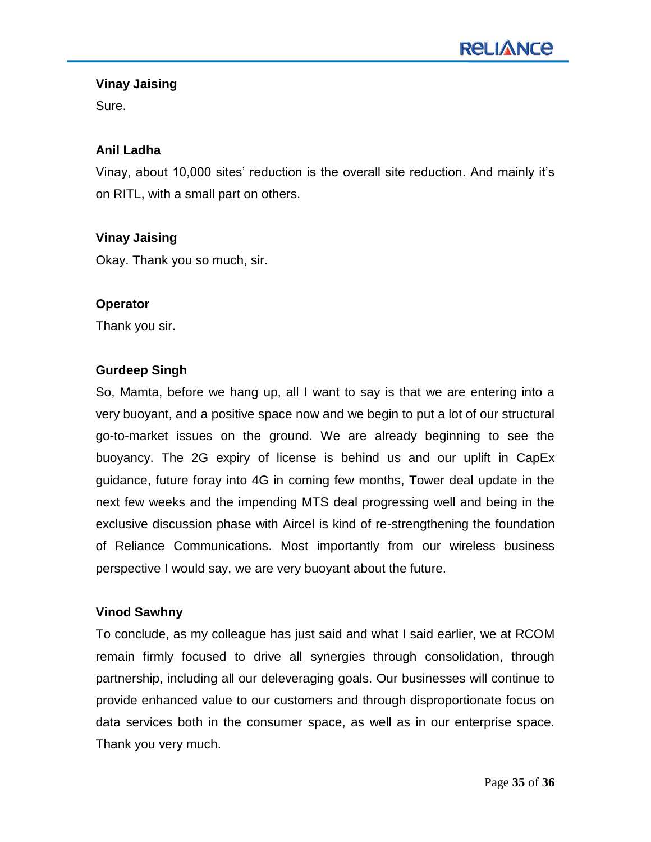# **Vinay Jaising**

Sure.

# **Anil Ladha**

Vinay, about 10,000 sites' reduction is the overall site reduction. And mainly it's on RITL, with a small part on others.

# **Vinay Jaising**

Okay. Thank you so much, sir.

#### **Operator**

Thank you sir.

# **Gurdeep Singh**

So, Mamta, before we hang up, all I want to say is that we are entering into a very buoyant, and a positive space now and we begin to put a lot of our structural go-to-market issues on the ground. We are already beginning to see the buoyancy. The 2G expiry of license is behind us and our uplift in CapEx guidance, future foray into 4G in coming few months, Tower deal update in the next few weeks and the impending MTS deal progressing well and being in the exclusive discussion phase with Aircel is kind of re-strengthening the foundation of Reliance Communications. Most importantly from our wireless business perspective I would say, we are very buoyant about the future.

# **Vinod Sawhny**

To conclude, as my colleague has just said and what I said earlier, we at RCOM remain firmly focused to drive all synergies through consolidation, through partnership, including all our deleveraging goals. Our businesses will continue to provide enhanced value to our customers and through disproportionate focus on data services both in the consumer space, as well as in our enterprise space. Thank you very much.